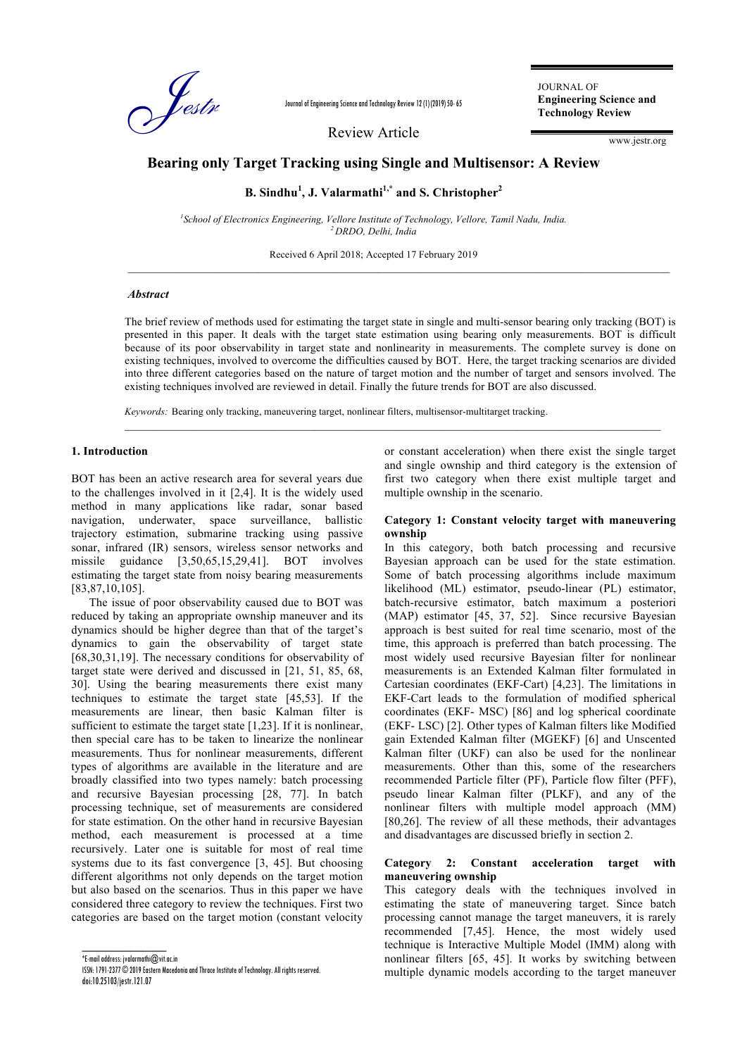

Journal of Engineering Science and Technology Review 12 (1) (2019) 50- 65

Review Article

JOURNAL OF **Engineering Science and Technology Review**

www.jestr.org

# **Bearing only Target Tracking using Single and Multisensor: A Review**

# **B. Sindhu<sup>1</sup> , J. Valarmathi1,\* and S. Christopher<sup>2</sup>**

<sup>1</sup> School of Electronics Engineering, Vellore Institute of Technology, Vellore, Tamil Nadu, India. *<sup>2</sup>DRDO, Delhi, India*

Received 6 April 2018; Accepted 17 February 2019

### *Abstract*

The brief review of methods used for estimating the target state in single and multi-sensor bearing only tracking (BOT) is presented in this paper. It deals with the target state estimation using bearing only measurements. BOT is difficult because of its poor observability in target state and nonlinearity in measurements. The complete survey is done on existing techniques, involved to overcome the difficulties caused by BOT. Here, the target tracking scenarios are divided into three different categories based on the nature of target motion and the number of target and sensors involved. The existing techniques involved are reviewed in detail. Finally the future trends for BOT are also discussed.

 $\_$  , and the set of the set of the set of the set of the set of the set of the set of the set of the set of the set of the set of the set of the set of the set of the set of the set of the set of the set of the set of th

 $\_$  , and the set of the set of the set of the set of the set of the set of the set of the set of the set of the set of the set of the set of the set of the set of the set of the set of the set of the set of the set of th

*Keywords:* Bearing only tracking, maneuvering target, nonlinear filters, multisensor-multitarget tracking.

#### **1. Introduction**

BOT has been an active research area for several years due to the challenges involved in it [2,4]. It is the widely used method in many applications like radar, sonar based navigation, underwater, space surveillance, ballistic trajectory estimation, submarine tracking using passive sonar, infrared (IR) sensors, wireless sensor networks and missile guidance [3,50,65,15,29,41]. BOT involves estimating the target state from noisy bearing measurements [83,87,10,105].

The issue of poor observability caused due to BOT was reduced by taking an appropriate ownship maneuver and its dynamics should be higher degree than that of the target's dynamics to gain the observability of target state [68,30,31,19]. The necessary conditions for observability of target state were derived and discussed in [21, 51, 85, 68, 30]. Using the bearing measurements there exist many techniques to estimate the target state [45,53]. If the measurements are linear, then basic Kalman filter is sufficient to estimate the target state [1,23]. If it is nonlinear, then special care has to be taken to linearize the nonlinear measurements. Thus for nonlinear measurements, different types of algorithms are available in the literature and are broadly classified into two types namely: batch processing and recursive Bayesian processing [28, 77]. In batch processing technique, set of measurements are considered for state estimation. On the other hand in recursive Bayesian method, each measurement is processed at a time recursively. Later one is suitable for most of real time systems due to its fast convergence [3, 45]. But choosing different algorithms not only depends on the target motion but also based on the scenarios. Thus in this paper we have considered three category to review the techniques. First two categories are based on the target motion (constant velocity or constant acceleration) when there exist the single target and single ownship and third category is the extension of first two category when there exist multiple target and multiple ownship in the scenario.

#### **Category 1: Constant velocity target with maneuvering ownship**

In this category, both batch processing and recursive Bayesian approach can be used for the state estimation. Some of batch processing algorithms include maximum likelihood (ML) estimator, pseudo-linear (PL) estimator, batch-recursive estimator, batch maximum a posteriori (MAP) estimator [45, 37, 52]. Since recursive Bayesian approach is best suited for real time scenario, most of the time, this approach is preferred than batch processing. The most widely used recursive Bayesian filter for nonlinear measurements is an Extended Kalman filter formulated in Cartesian coordinates (EKF-Cart) [4,23]. The limitations in EKF-Cart leads to the formulation of modified spherical coordinates (EKF- MSC) [86] and log spherical coordinate (EKF- LSC) [2]. Other types of Kalman filters like Modified gain Extended Kalman filter (MGEKF) [6] and Unscented Kalman filter (UKF) can also be used for the nonlinear measurements. Other than this, some of the researchers recommended Particle filter (PF), Particle flow filter (PFF), pseudo linear Kalman filter (PLKF), and any of the nonlinear filters with multiple model approach (MM) [80,26]. The review of all these methods, their advantages and disadvantages are discussed briefly in section 2.

#### **Category 2: Constant acceleration target with maneuvering ownship**

This category deals with the techniques involved in estimating the state of maneuvering target. Since batch processing cannot manage the target maneuvers, it is rarely recommended [7,45]. Hence, the most widely used technique is Interactive Multiple Model (IMM) along with nonlinear filters [65, 45]. It works by switching between multiple dynamic models according to the target maneuver

 $\overline{\phantom{a}}$  , and the contract of the contract of  $\overline{\phantom{a}}$ \*E-mail address: jvalarmathi@vit.ac.in

ISSN: 1791-2377 © 2019 Eastern Macedonia and Thrace Institute of Technology. All rights reserved. doi:10.25103/jestr.121.07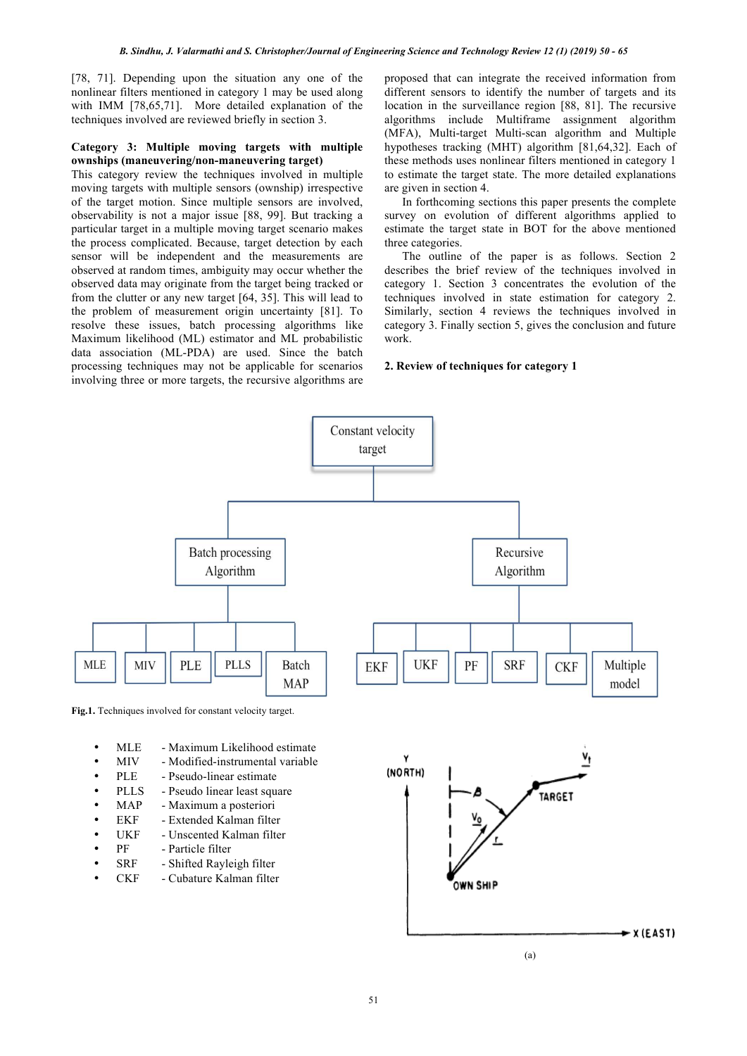[78, 71]. Depending upon the situation any one of the nonlinear filters mentioned in category 1 may be used along with IMM [78,65,71]. More detailed explanation of the techniques involved are reviewed briefly in section 3.

#### **Category 3: Multiple moving targets with multiple ownships (maneuvering/non-maneuvering target)**

This category review the techniques involved in multiple moving targets with multiple sensors (ownship) irrespective of the target motion. Since multiple sensors are involved, observability is not a major issue [88, 99]. But tracking a particular target in a multiple moving target scenario makes the process complicated. Because, target detection by each sensor will be independent and the measurements are observed at random times, ambiguity may occur whether the observed data may originate from the target being tracked or from the clutter or any new target [64, 35]. This will lead to the problem of measurement origin uncertainty [81]. To resolve these issues, batch processing algorithms like Maximum likelihood (ML) estimator and ML probabilistic data association (ML-PDA) are used. Since the batch processing techniques may not be applicable for scenarios involving three or more targets, the recursive algorithms are

proposed that can integrate the received information from different sensors to identify the number of targets and its location in the surveillance region [88, 81]. The recursive algorithms include Multiframe assignment algorithm (MFA), Multi-target Multi-scan algorithm and Multiple hypotheses tracking (MHT) algorithm [81,64,32]. Each of these methods uses nonlinear filters mentioned in category 1 to estimate the target state. The more detailed explanations are given in section 4.

In forthcoming sections this paper presents the complete survey on evolution of different algorithms applied to estimate the target state in BOT for the above mentioned three categories.

The outline of the paper is as follows. Section 2 describes the brief review of the techniques involved in category 1. Section 3 concentrates the evolution of the techniques involved in state estimation for category 2. Similarly, section 4 reviews the techniques involved in category 3. Finally section 5, gives the conclusion and future work.

# **2. Review of techniques for category 1**



**Fig.1.** Techniques involved for constant velocity target.

- MLE Maximum Likelihood estimate<br>• MIV Modified-instrumental variable
- Modified-instrumental variable
- PLE Pseudo-linear estimate<br>PLLS Pseudo linear least squ
- Pseudo linear least square
- MAP Maximum a posteriori
- EKF Extended Kalman filter
- UKF Unscented Kalman filter
- PF Particle filter
- SRF Shifted Rayleigh filter
- CKF Cubature Kalman filter

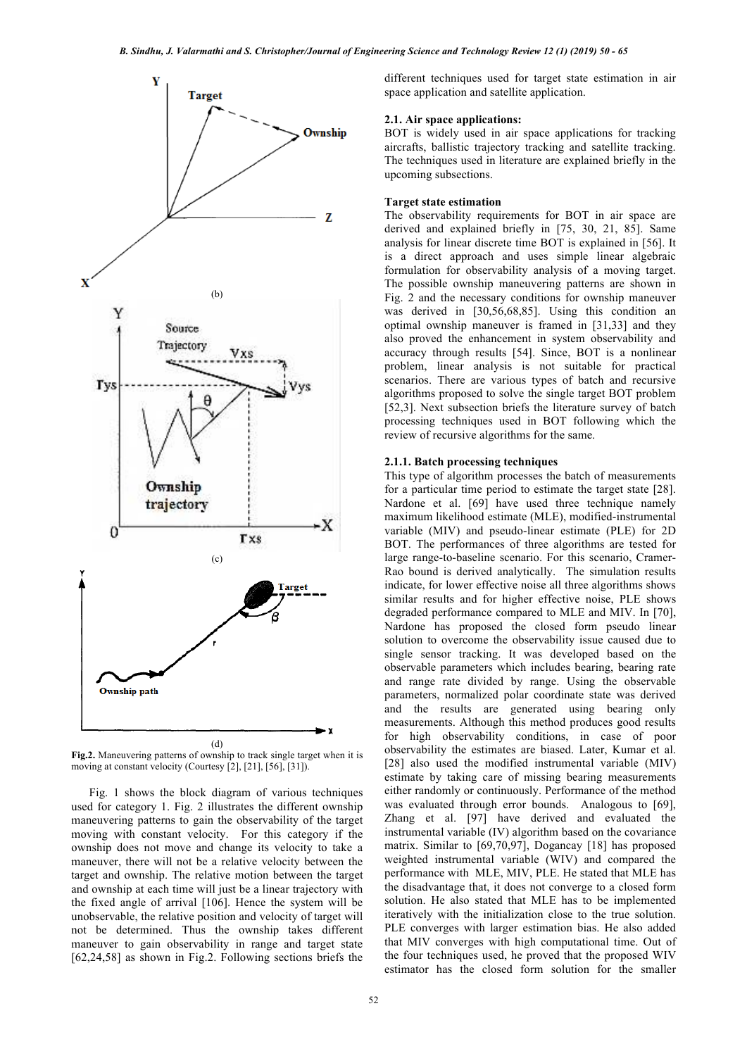

**Fig.2.** Maneuvering patterns of ownship to track single target when it is moving at constant velocity (Courtesy [2], [21], [56], [31]).

Fig. 1 shows the block diagram of various techniques used for category 1. Fig. 2 illustrates the different ownship maneuvering patterns to gain the observability of the target moving with constant velocity. For this category if the ownship does not move and change its velocity to take a maneuver, there will not be a relative velocity between the target and ownship. The relative motion between the target and ownship at each time will just be a linear trajectory with the fixed angle of arrival [106]. Hence the system will be unobservable, the relative position and velocity of target will not be determined. Thus the ownship takes different maneuver to gain observability in range and target state [62,24,58] as shown in Fig.2. Following sections briefs the

different techniques used for target state estimation in air space application and satellite application.

# **2.1. Air space applications:**

BOT is widely used in air space applications for tracking aircrafts, ballistic trajectory tracking and satellite tracking. The techniques used in literature are explained briefly in the upcoming subsections.

# **Target state estimation**

The observability requirements for BOT in air space are derived and explained briefly in [75, 30, 21, 85]. Same analysis for linear discrete time BOT is explained in [56]. It is a direct approach and uses simple linear algebraic formulation for observability analysis of a moving target. The possible ownship maneuvering patterns are shown in Fig. 2 and the necessary conditions for ownship maneuver was derived in [30,56,68,85]. Using this condition an optimal ownship maneuver is framed in [31,33] and they also proved the enhancement in system observability and accuracy through results [54]. Since, BOT is a nonlinear problem, linear analysis is not suitable for practical scenarios. There are various types of batch and recursive algorithms proposed to solve the single target BOT problem [52,3]. Next subsection briefs the literature survey of batch processing techniques used in BOT following which the review of recursive algorithms for the same.

#### **2.1.1. Batch processing techniques**

This type of algorithm processes the batch of measurements for a particular time period to estimate the target state [28]. Nardone et al. [69] have used three technique namely maximum likelihood estimate (MLE), modified-instrumental variable (MIV) and pseudo-linear estimate (PLE) for 2D BOT. The performances of three algorithms are tested for large range-to-baseline scenario. For this scenario, Cramer-Rao bound is derived analytically. The simulation results indicate, for lower effective noise all three algorithms shows similar results and for higher effective noise, PLE shows degraded performance compared to MLE and MIV. In [70], Nardone has proposed the closed form pseudo linear solution to overcome the observability issue caused due to single sensor tracking. It was developed based on the observable parameters which includes bearing, bearing rate and range rate divided by range. Using the observable parameters, normalized polar coordinate state was derived and the results are generated using bearing only measurements. Although this method produces good results for high observability conditions, in case of poor observability the estimates are biased. Later, Kumar et al. [28] also used the modified instrumental variable (MIV) estimate by taking care of missing bearing measurements either randomly or continuously. Performance of the method was evaluated through error bounds. Analogous to [69], Zhang et al. [97] have derived and evaluated the instrumental variable (IV) algorithm based on the covariance matrix. Similar to [69,70,97], Dogancay [18] has proposed weighted instrumental variable (WIV) and compared the performance with MLE, MIV, PLE. He stated that MLE has the disadvantage that, it does not converge to a closed form solution. He also stated that MLE has to be implemented iteratively with the initialization close to the true solution. PLE converges with larger estimation bias. He also added that MIV converges with high computational time. Out of the four techniques used, he proved that the proposed WIV estimator has the closed form solution for the smaller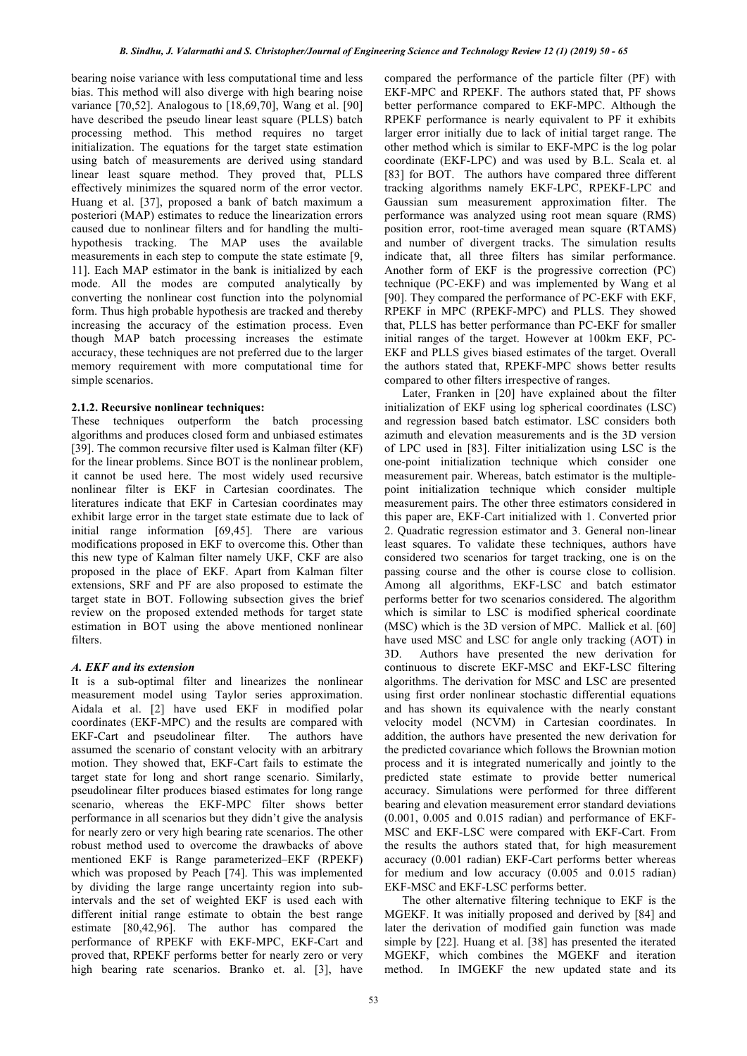bearing noise variance with less computational time and less bias. This method will also diverge with high bearing noise variance [70,52]. Analogous to [18,69,70], Wang et al. [90] have described the pseudo linear least square (PLLS) batch processing method. This method requires no target initialization. The equations for the target state estimation using batch of measurements are derived using standard linear least square method. They proved that, PLLS effectively minimizes the squared norm of the error vector. Huang et al. [37], proposed a bank of batch maximum a posteriori (MAP) estimates to reduce the linearization errors caused due to nonlinear filters and for handling the multihypothesis tracking. The MAP uses the available measurements in each step to compute the state estimate [9, 11]. Each MAP estimator in the bank is initialized by each mode. All the modes are computed analytically by converting the nonlinear cost function into the polynomial form. Thus high probable hypothesis are tracked and thereby increasing the accuracy of the estimation process. Even though MAP batch processing increases the estimate accuracy, these techniques are not preferred due to the larger memory requirement with more computational time for simple scenarios.

# **2.1.2. Recursive nonlinear techniques:**

These techniques outperform the batch processing algorithms and produces closed form and unbiased estimates [39]. The common recursive filter used is Kalman filter (KF) for the linear problems. Since BOT is the nonlinear problem, it cannot be used here. The most widely used recursive nonlinear filter is EKF in Cartesian coordinates. The literatures indicate that EKF in Cartesian coordinates may exhibit large error in the target state estimate due to lack of initial range information [69,45]. There are various modifications proposed in EKF to overcome this. Other than this new type of Kalman filter namely UKF, CKF are also proposed in the place of EKF. Apart from Kalman filter extensions, SRF and PF are also proposed to estimate the target state in BOT. Following subsection gives the brief review on the proposed extended methods for target state estimation in BOT using the above mentioned nonlinear filters.

# *A. EKF and its extension*

It is a sub-optimal filter and linearizes the nonlinear measurement model using Taylor series approximation. Aidala et al. [2] have used EKF in modified polar coordinates (EKF-MPC) and the results are compared with EKF-Cart and pseudolinear filter. The authors have assumed the scenario of constant velocity with an arbitrary motion. They showed that, EKF-Cart fails to estimate the target state for long and short range scenario. Similarly, pseudolinear filter produces biased estimates for long range scenario, whereas the EKF-MPC filter shows better performance in all scenarios but they didn't give the analysis for nearly zero or very high bearing rate scenarios. The other robust method used to overcome the drawbacks of above mentioned EKF is Range parameterized–EKF (RPEKF) which was proposed by Peach [74]. This was implemented by dividing the large range uncertainty region into subintervals and the set of weighted EKF is used each with different initial range estimate to obtain the best range estimate [80,42,96]. The author has compared the performance of RPEKF with EKF-MPC, EKF-Cart and proved that, RPEKF performs better for nearly zero or very high bearing rate scenarios. Branko et. al. [3], have

compared the performance of the particle filter (PF) with EKF-MPC and RPEKF. The authors stated that, PF shows better performance compared to EKF-MPC. Although the RPEKF performance is nearly equivalent to PF it exhibits larger error initially due to lack of initial target range. The other method which is similar to EKF-MPC is the log polar coordinate (EKF-LPC) and was used by B.L. Scala et. al [83] for BOT. The authors have compared three different tracking algorithms namely EKF-LPC, RPEKF-LPC and Gaussian sum measurement approximation filter. The performance was analyzed using root mean square (RMS) position error, root-time averaged mean square (RTAMS) and number of divergent tracks. The simulation results indicate that, all three filters has similar performance. Another form of EKF is the progressive correction (PC) technique (PC-EKF) and was implemented by Wang et al [90]. They compared the performance of PC-EKF with EKF, RPEKF in MPC (RPEKF-MPC) and PLLS. They showed that, PLLS has better performance than PC-EKF for smaller initial ranges of the target. However at 100km EKF, PC-EKF and PLLS gives biased estimates of the target. Overall the authors stated that, RPEKF-MPC shows better results compared to other filters irrespective of ranges.

Later, Franken in [20] have explained about the filter initialization of EKF using log spherical coordinates (LSC) and regression based batch estimator. LSC considers both azimuth and elevation measurements and is the 3D version of LPC used in [83]. Filter initialization using LSC is the one-point initialization technique which consider one measurement pair. Whereas, batch estimator is the multiplepoint initialization technique which consider multiple measurement pairs. The other three estimators considered in this paper are, EKF-Cart initialized with 1. Converted prior 2. Quadratic regression estimator and 3. General non-linear least squares. To validate these techniques, authors have considered two scenarios for target tracking, one is on the passing course and the other is course close to collision. Among all algorithms, EKF-LSC and batch estimator performs better for two scenarios considered. The algorithm which is similar to LSC is modified spherical coordinate (MSC) which is the 3D version of MPC. Mallick et al. [60] have used MSC and LSC for angle only tracking (AOT) in 3D. Authors have presented the new derivation for continuous to discrete EKF-MSC and EKF-LSC filtering algorithms. The derivation for MSC and LSC are presented using first order nonlinear stochastic differential equations and has shown its equivalence with the nearly constant velocity model (NCVM) in Cartesian coordinates. In addition, the authors have presented the new derivation for the predicted covariance which follows the Brownian motion process and it is integrated numerically and jointly to the predicted state estimate to provide better numerical accuracy. Simulations were performed for three different bearing and elevation measurement error standard deviations (0.001, 0.005 and 0.015 radian) and performance of EKF-MSC and EKF-LSC were compared with EKF-Cart. From the results the authors stated that, for high measurement accuracy (0.001 radian) EKF-Cart performs better whereas for medium and low accuracy (0.005 and 0.015 radian) EKF-MSC and EKF-LSC performs better.

The other alternative filtering technique to EKF is the MGEKF. It was initially proposed and derived by [84] and later the derivation of modified gain function was made simple by [22]. Huang et al. [38] has presented the iterated MGEKF, which combines the MGEKF and iteration method. In IMGEKF the new updated state and its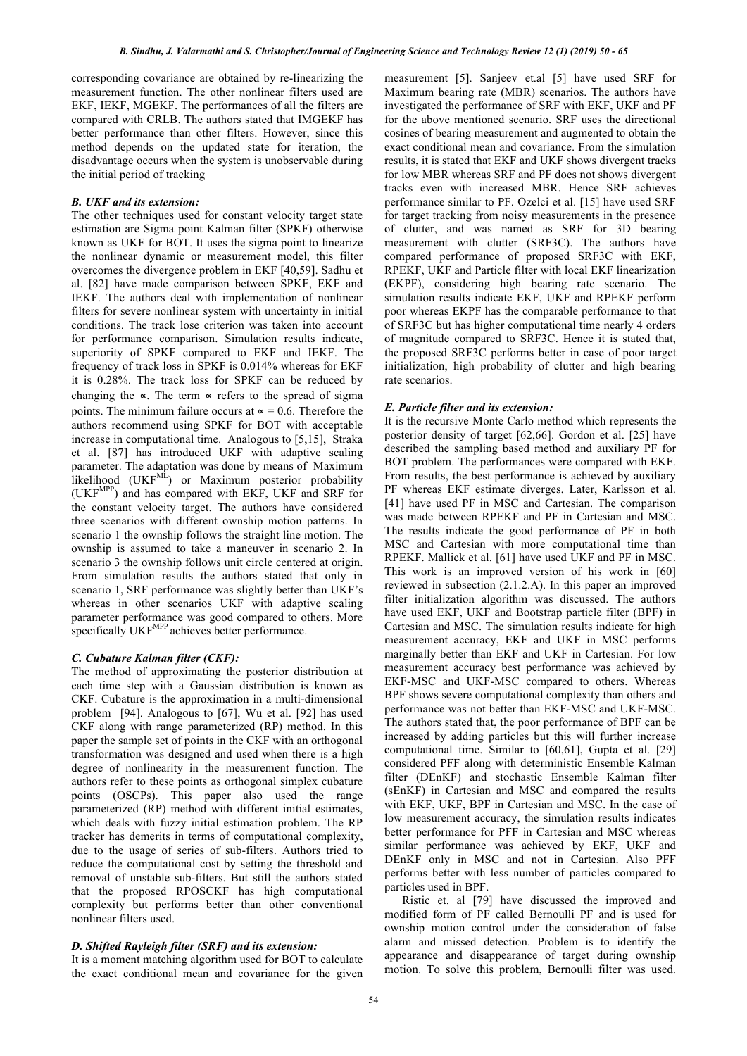corresponding covariance are obtained by re-linearizing the measurement function. The other nonlinear filters used are EKF, IEKF, MGEKF. The performances of all the filters are compared with CRLB. The authors stated that IMGEKF has better performance than other filters. However, since this method depends on the updated state for iteration, the disadvantage occurs when the system is unobservable during the initial period of tracking

### *B. UKF and its extension:*

The other techniques used for constant velocity target state estimation are Sigma point Kalman filter (SPKF) otherwise known as UKF for BOT. It uses the sigma point to linearize the nonlinear dynamic or measurement model, this filter overcomes the divergence problem in EKF [40,59]. Sadhu et al. [82] have made comparison between SPKF, EKF and IEKF. The authors deal with implementation of nonlinear filters for severe nonlinear system with uncertainty in initial conditions. The track lose criterion was taken into account for performance comparison. Simulation results indicate, superiority of SPKF compared to EKF and IEKF. The frequency of track loss in SPKF is 0.014% whereas for EKF it is 0.28%. The track loss for SPKF can be reduced by changing the ∝. The term ∝ refers to the spread of sigma points. The minimum failure occurs at  $\alpha$  = 0.6. Therefore the authors recommend using SPKF for BOT with acceptable increase in computational time. Analogous to [5,15], Straka et al. [87] has introduced UKF with adaptive scaling parameter. The adaptation was done by means of Maximum likelihood (UKFML) or Maximum posterior probability (UKFMPP) and has compared with EKF, UKF and SRF for the constant velocity target. The authors have considered three scenarios with different ownship motion patterns. In scenario 1 the ownship follows the straight line motion. The ownship is assumed to take a maneuver in scenario 2. In scenario 3 the ownship follows unit circle centered at origin. From simulation results the authors stated that only in scenario 1, SRF performance was slightly better than UKF's whereas in other scenarios UKF with adaptive scaling parameter performance was good compared to others. More specifically UKF<sup>MPP</sup> achieves better performance.

### *C. Cubature Kalman filter (CKF):*

The method of approximating the posterior distribution at each time step with a Gaussian distribution is known as CKF. Cubature is the approximation in a multi-dimensional problem [94]. Analogous to [67], Wu et al. [92] has used CKF along with range parameterized (RP) method. In this paper the sample set of points in the CKF with an orthogonal transformation was designed and used when there is a high degree of nonlinearity in the measurement function. The authors refer to these points as orthogonal simplex cubature points (OSCPs). This paper also used the range parameterized (RP) method with different initial estimates, which deals with fuzzy initial estimation problem. The RP tracker has demerits in terms of computational complexity, due to the usage of series of sub-filters. Authors tried to reduce the computational cost by setting the threshold and removal of unstable sub-filters. But still the authors stated that the proposed RPOSCKF has high computational complexity but performs better than other conventional nonlinear filters used.

# *D. Shifted Rayleigh filter (SRF) and its extension:*

It is a moment matching algorithm used for BOT to calculate the exact conditional mean and covariance for the given

measurement [5]. Sanjeev et.al [5] have used SRF for Maximum bearing rate (MBR) scenarios. The authors have investigated the performance of SRF with EKF, UKF and PF for the above mentioned scenario. SRF uses the directional cosines of bearing measurement and augmented to obtain the exact conditional mean and covariance. From the simulation results, it is stated that EKF and UKF shows divergent tracks for low MBR whereas SRF and PF does not shows divergent tracks even with increased MBR. Hence SRF achieves performance similar to PF. Ozelci et al. [15] have used SRF for target tracking from noisy measurements in the presence of clutter, and was named as SRF for 3D bearing measurement with clutter (SRF3C). The authors have compared performance of proposed SRF3C with EKF, RPEKF, UKF and Particle filter with local EKF linearization (EKPF), considering high bearing rate scenario. The simulation results indicate EKF, UKF and RPEKF perform poor whereas EKPF has the comparable performance to that of SRF3C but has higher computational time nearly 4 orders of magnitude compared to SRF3C. Hence it is stated that, the proposed SRF3C performs better in case of poor target initialization, high probability of clutter and high bearing rate scenarios.

#### *E. Particle filter and its extension:*

It is the recursive Monte Carlo method which represents the posterior density of target [62,66]. Gordon et al. [25] have described the sampling based method and auxiliary PF for BOT problem. The performances were compared with EKF. From results, the best performance is achieved by auxiliary PF whereas EKF estimate diverges. Later, Karlsson et al. [41] have used PF in MSC and Cartesian. The comparison was made between RPEKF and PF in Cartesian and MSC. The results indicate the good performance of PF in both MSC and Cartesian with more computational time than RPEKF. Mallick et al. [61] have used UKF and PF in MSC. This work is an improved version of his work in [60] reviewed in subsection (2.1.2.A). In this paper an improved filter initialization algorithm was discussed. The authors have used EKF, UKF and Bootstrap particle filter (BPF) in Cartesian and MSC. The simulation results indicate for high measurement accuracy, EKF and UKF in MSC performs marginally better than EKF and UKF in Cartesian. For low measurement accuracy best performance was achieved by EKF-MSC and UKF-MSC compared to others. Whereas BPF shows severe computational complexity than others and performance was not better than EKF-MSC and UKF-MSC. The authors stated that, the poor performance of BPF can be increased by adding particles but this will further increase computational time. Similar to [60,61], Gupta et al. [29] considered PFF along with deterministic Ensemble Kalman filter (DEnKF) and stochastic Ensemble Kalman filter (sEnKF) in Cartesian and MSC and compared the results with EKF, UKF, BPF in Cartesian and MSC. In the case of low measurement accuracy, the simulation results indicates better performance for PFF in Cartesian and MSC whereas similar performance was achieved by EKF, UKF and DEnKF only in MSC and not in Cartesian. Also PFF performs better with less number of particles compared to particles used in BPF.

Ristic et. al [79] have discussed the improved and modified form of PF called Bernoulli PF and is used for ownship motion control under the consideration of false alarm and missed detection. Problem is to identify the appearance and disappearance of target during ownship motion. To solve this problem, Bernoulli filter was used.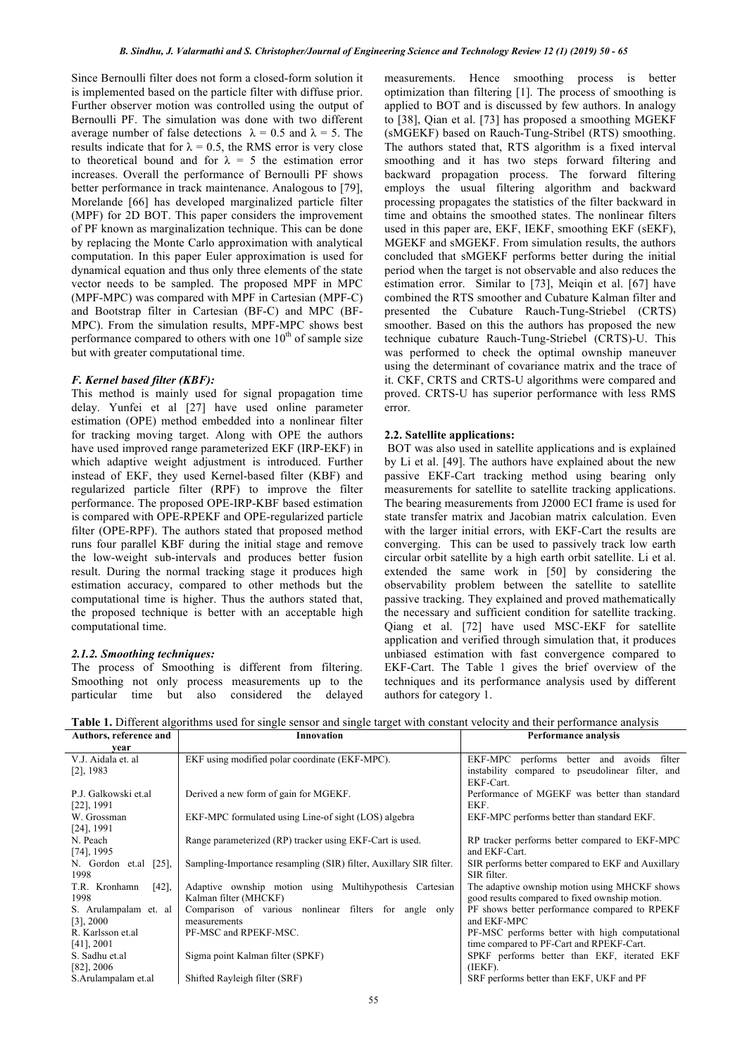Since Bernoulli filter does not form a closed-form solution it is implemented based on the particle filter with diffuse prior. Further observer motion was controlled using the output of Bernoulli PF. The simulation was done with two different average number of false detections  $\lambda = 0.5$  and  $\lambda = 5$ . The results indicate that for  $\lambda = 0.5$ , the RMS error is very close to theoretical bound and for  $\lambda = 5$  the estimation error increases. Overall the performance of Bernoulli PF shows better performance in track maintenance. Analogous to [79], Morelande [66] has developed marginalized particle filter (MPF) for 2D BOT. This paper considers the improvement of PF known as marginalization technique. This can be done by replacing the Monte Carlo approximation with analytical computation. In this paper Euler approximation is used for dynamical equation and thus only three elements of the state vector needs to be sampled. The proposed MPF in MPC (MPF-MPC) was compared with MPF in Cartesian (MPF-C) and Bootstrap filter in Cartesian (BF-C) and MPC (BF-MPC). From the simulation results, MPF-MPC shows best performance compared to others with one  $10<sup>th</sup>$  of sample size but with greater computational time.

# *F. Kernel based filter (KBF):*

This method is mainly used for signal propagation time delay. Yunfei et al [27] have used online parameter estimation (OPE) method embedded into a nonlinear filter for tracking moving target. Along with OPE the authors have used improved range parameterized EKF (IRP-EKF) in which adaptive weight adjustment is introduced. Further instead of EKF, they used Kernel-based filter (KBF) and regularized particle filter (RPF) to improve the filter performance. The proposed OPE-IRP-KBF based estimation is compared with OPE-RPEKF and OPE-regularized particle filter (OPE-RPF). The authors stated that proposed method runs four parallel KBF during the initial stage and remove the low-weight sub-intervals and produces better fusion result. During the normal tracking stage it produces high estimation accuracy, compared to other methods but the computational time is higher. Thus the authors stated that, the proposed technique is better with an acceptable high computational time.

### *2.1.2. Smoothing techniques:*

The process of Smoothing is different from filtering. Smoothing not only process measurements up to the particular time but also considered the delayed

measurements. Hence smoothing process is better optimization than filtering [1]. The process of smoothing is applied to BOT and is discussed by few authors. In analogy to [38], Qian et al. [73] has proposed a smoothing MGEKF (sMGEKF) based on Rauch-Tung-Stribel (RTS) smoothing. The authors stated that, RTS algorithm is a fixed interval smoothing and it has two steps forward filtering and backward propagation process. The forward filtering employs the usual filtering algorithm and backward processing propagates the statistics of the filter backward in time and obtains the smoothed states. The nonlinear filters used in this paper are, EKF, IEKF, smoothing EKF (sEKF), MGEKF and sMGEKF. From simulation results, the authors concluded that sMGEKF performs better during the initial period when the target is not observable and also reduces the estimation error. Similar to [73], Meiqin et al. [67] have combined the RTS smoother and Cubature Kalman filter and presented the Cubature Rauch-Tung-Striebel (CRTS) smoother. Based on this the authors has proposed the new technique cubature Rauch-Tung-Striebel (CRTS)-U. This was performed to check the optimal ownship maneuver using the determinant of covariance matrix and the trace of it. CKF, CRTS and CRTS-U algorithms were compared and proved. CRTS-U has superior performance with less RMS error.

#### **2.2. Satellite applications:**

BOT was also used in satellite applications and is explained by Li et al. [49]. The authors have explained about the new passive EKF-Cart tracking method using bearing only measurements for satellite to satellite tracking applications. The bearing measurements from J2000 ECI frame is used for state transfer matrix and Jacobian matrix calculation. Even with the larger initial errors, with EKF-Cart the results are converging. This can be used to passively track low earth circular orbit satellite by a high earth orbit satellite. Li et al. extended the same work in [50] by considering the observability problem between the satellite to satellite passive tracking. They explained and proved mathematically the necessary and sufficient condition for satellite tracking. Qiang et al. [72] have used MSC-EKF for satellite application and verified through simulation that, it produces unbiased estimation with fast convergence compared to EKF-Cart. The Table 1 gives the brief overview of the techniques and its performance analysis used by different authors for category 1.

| Authors, reference and | Innovation                                                         | Performance analysis                               |
|------------------------|--------------------------------------------------------------------|----------------------------------------------------|
| vear                   |                                                                    |                                                    |
| V.J. Aidala et. al     | EKF using modified polar coordinate (EKF-MPC).                     | performs<br>EKF-MPC<br>better and avoids<br>filter |
| $[2]$ , 1983           |                                                                    | instability compared to pseudolinear filter, and   |
|                        |                                                                    | EKF-Cart.                                          |
| P.J. Galkowski et.al   | Derived a new form of gain for MGEKF.                              | Performance of MGEKF was better than standard      |
| $[22]$ , 1991          |                                                                    | EKF.                                               |
| W. Grossman            | EKF-MPC formulated using Line-of sight (LOS) algebra               | EKF-MPC performs better than standard EKF.         |
| [24], 1991             |                                                                    |                                                    |
| N. Peach               | Range parameterized (RP) tracker using EKF-Cart is used.           | RP tracker performs better compared to EKF-MPC     |
| $[74]$ , 1995          |                                                                    | and EKF-Cart.                                      |
| N. Gordon et.al [25],  | Sampling-Importance resampling (SIR) filter, Auxillary SIR filter. | SIR performs better compared to EKF and Auxillary  |
| 1998                   |                                                                    | SIR filter.                                        |
| T.R. Kronhamn<br>[42]  | Adaptive ownship motion using Multihypothesis Cartesian            | The adaptive ownship motion using MHCKF shows      |
| 1998                   | Kalman filter (MHCKF)                                              | good results compared to fixed ownship motion.     |
| S. Arulampalam et. al  | Comparison of various nonlinear filters for angle only             | PF shows better performance compared to RPEKF      |
| $[3]$ , 2000           | measurements                                                       | and EKF-MPC                                        |
| R. Karlsson et al.     | PF-MSC and RPEKF-MSC.                                              | PF-MSC performs better with high computational     |
| $[41]$ , 2001          |                                                                    | time compared to PF-Cart and RPEKF-Cart.           |
| S. Sadhu et.al         | Sigma point Kalman filter (SPKF)                                   | SPKF performs better than EKF, iterated EKF        |
| $[82]$ , 2006          |                                                                    | (IEKF).                                            |
| S.Arulampalam et.al    | Shifted Rayleigh filter (SRF)                                      | SRF performs better than EKF, UKF and PF           |

**Table 1.** Different algorithms used for single sensor and single target with constant velocity and their performance analysis<br>Authors reference and lawsimum analysis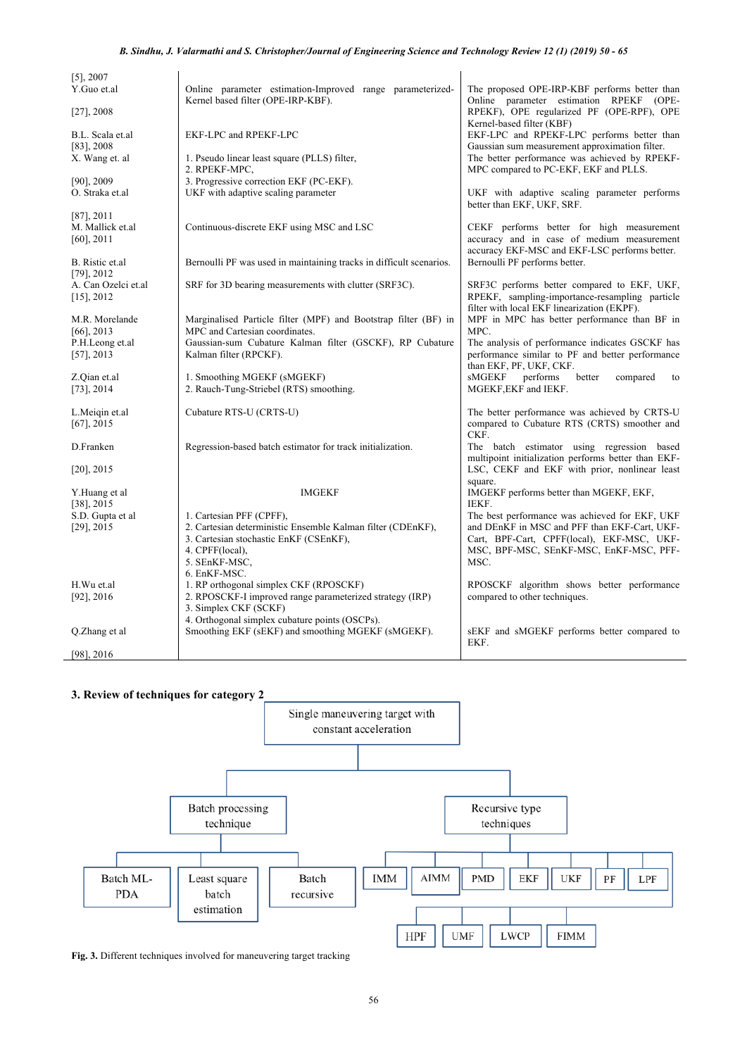| $[5]$ , 2007<br>Y.Guo et.al<br>$[27]$ , 2008        | Online parameter estimation-Improved range parameterized-<br>Kernel based filter (OPE-IRP-KBF).                                                                                       | The proposed OPE-IRP-KBF performs better than<br>Online parameter estimation RPEKF (OPE-<br>RPEKF), OPE regularized PF (OPE-RPF), OPE                                                           |
|-----------------------------------------------------|---------------------------------------------------------------------------------------------------------------------------------------------------------------------------------------|-------------------------------------------------------------------------------------------------------------------------------------------------------------------------------------------------|
| B.L. Scala et.al<br>$[83]$ , 2008<br>X. Wang et. al | EKF-LPC and RPEKF-LPC<br>1. Pseudo linear least square (PLLS) filter,                                                                                                                 | Kernel-based filter (KBF)<br>EKF-LPC and RPEKF-LPC performs better than<br>Gaussian sum measurement approximation filter.<br>The better performance was achieved by RPEKF-                      |
| $[90]$ , 2009<br>O. Straka et.al                    | 2. RPEKF-MPC,<br>3. Progressive correction EKF (PC-EKF).<br>UKF with adaptive scaling parameter                                                                                       | MPC compared to PC-EKF, EKF and PLLS.<br>UKF with adaptive scaling parameter performs<br>better than EKF, UKF, SRF.                                                                             |
| $[87]$ , 2011<br>M. Mallick et.al<br>$[60]$ , 2011  | Continuous-discrete EKF using MSC and LSC                                                                                                                                             | CEKF performs better for high measurement<br>accuracy and in case of medium measurement<br>accuracy EKF-MSC and EKF-LSC performs better.                                                        |
| B. Ristic et.al<br>$[79]$ , 2012                    | Bernoulli PF was used in maintaining tracks in difficult scenarios.                                                                                                                   | Bernoulli PF performs better.                                                                                                                                                                   |
| A. Can Ozelci et.al<br>$[15]$ , 2012                | SRF for 3D bearing measurements with clutter (SRF3C).                                                                                                                                 | SRF3C performs better compared to EKF, UKF,<br>RPEKF, sampling-importance-resampling particle<br>filter with local EKF linearization (EKPF).                                                    |
| M.R. Morelande<br>$[66]$ , 2013<br>P.H.Leong et.al  | Marginalised Particle filter (MPF) and Bootstrap filter (BF) in<br>MPC and Cartesian coordinates.<br>Gaussian-sum Cubature Kalman filter (GSCKF), RP Cubature                         | MPF in MPC has better performance than BF in<br>MPC.<br>The analysis of performance indicates GSCKF has                                                                                         |
| $[57]$ , 2013<br>Z.Qian et.al<br>$[73]$ , 2014      | Kalman filter (RPCKF).<br>1. Smoothing MGEKF (sMGEKF)<br>2. Rauch-Tung-Striebel (RTS) smoothing.                                                                                      | performance similar to PF and better performance<br>than EKF, PF, UKF, CKF.<br>sMGEKF<br>performs<br>better<br>compared<br>to<br>MGEKF, EKF and IEKF.                                           |
| L.Meigin et.al<br>$[67]$ , 2015                     | Cubature RTS-U (CRTS-U)                                                                                                                                                               | The better performance was achieved by CRTS-U<br>compared to Cubature RTS (CRTS) smoother and<br>CKF.                                                                                           |
| D.Franken                                           | Regression-based batch estimator for track initialization.                                                                                                                            | The batch estimator using regression based<br>multipoint initialization performs better than EKF-                                                                                               |
| $[20]$ , 2015                                       |                                                                                                                                                                                       | LSC, CEKF and EKF with prior, nonlinear least                                                                                                                                                   |
| Y.Huang et al<br>$[38]$ , 2015                      | <b>IMGEKF</b>                                                                                                                                                                         | square.<br>IMGEKF performs better than MGEKF, EKF,<br>IEKF.                                                                                                                                     |
| S.D. Gupta et al<br>$[29]$ , 2015                   | 1. Cartesian PFF (CPFF),<br>2. Cartesian deterministic Ensemble Kalman filter (CDEnKF),<br>3. Cartesian stochastic EnKF (CSEnKF),<br>4. CPFF(local),<br>5. SEnKF-MSC,<br>6. EnKF-MSC. | The best performance was achieved for EKF, UKF<br>and DEnKF in MSC and PFF than EKF-Cart, UKF-<br>Cart, BPF-Cart, CPFF(local), EKF-MSC, UKF-<br>MSC, BPF-MSC, SEnKF-MSC, EnKF-MSC, PFF-<br>MSC. |
| H.Wu et.al<br>$[92]$ , 2016                         | 1. RP orthogonal simplex CKF (RPOSCKF)<br>2. RPOSCKF-I improved range parameterized strategy (IRP)<br>3. Simplex CKF (SCKF)<br>4. Orthogonal simplex cubature points (OSCPs).         | RPOSCKF algorithm shows better performance<br>compared to other techniques.                                                                                                                     |
| Q.Zhang et al                                       | Smoothing EKF (sEKF) and smoothing MGEKF (sMGEKF).                                                                                                                                    | sEKF and sMGEKF performs better compared to<br>EKF.                                                                                                                                             |
| $[98]$ , 2016                                       |                                                                                                                                                                                       |                                                                                                                                                                                                 |

# **3. Review of techniques for category 2**



**Fig. 3.** Different techniques involved for maneuvering target tracking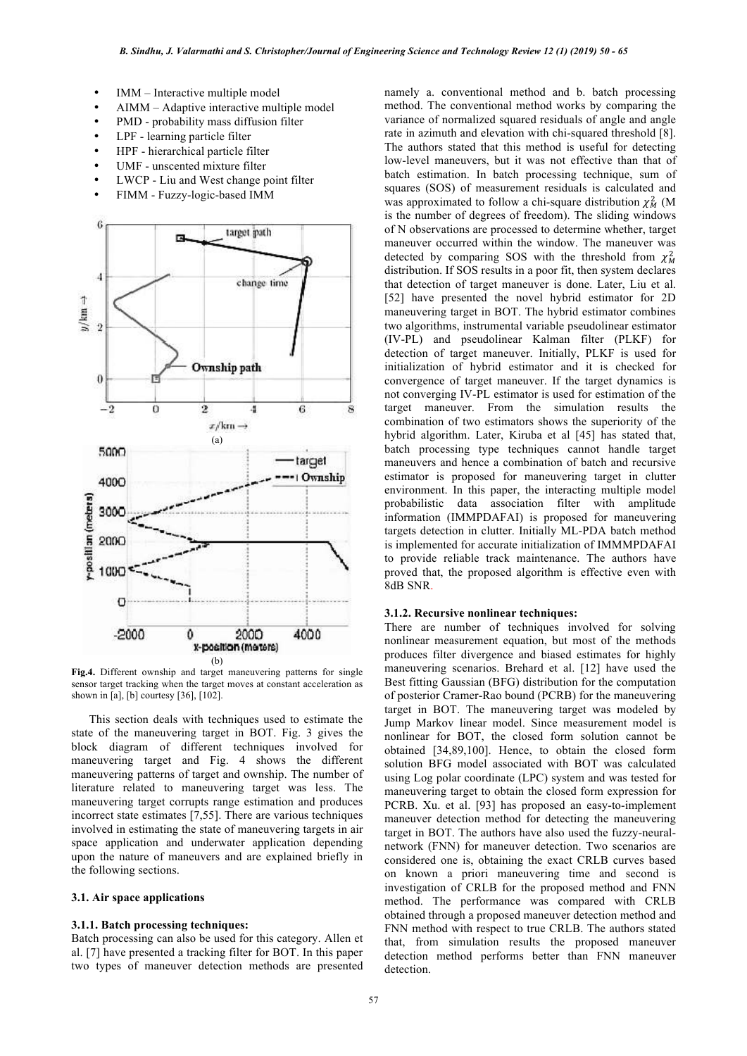- IMM Interactive multiple model
- AIMM Adaptive interactive multiple model
- PMD probability mass diffusion filter
- LPF learning particle filter
- HPF hierarchical particle filter
- UMF unscented mixture filter
- LWCP Liu and West change point filter
- FIMM Fuzzy-logic-based IMM



**Fig.4.** Different ownship and target maneuvering patterns for single sensor target tracking when the target moves at constant acceleration as shown in [a], [b] courtesy [36], [102].

This section deals with techniques used to estimate the state of the maneuvering target in BOT. Fig. 3 gives the block diagram of different techniques involved for maneuvering target and Fig. 4 shows the different maneuvering patterns of target and ownship. The number of literature related to maneuvering target was less. The maneuvering target corrupts range estimation and produces incorrect state estimates [7,55]. There are various techniques involved in estimating the state of maneuvering targets in air space application and underwater application depending upon the nature of maneuvers and are explained briefly in the following sections.

# **3.1. Air space applications**

### **3.1.1. Batch processing techniques:**

Batch processing can also be used for this category. Allen et al. [7] have presented a tracking filter for BOT. In this paper two types of maneuver detection methods are presented namely a. conventional method and b. batch processing method. The conventional method works by comparing the variance of normalized squared residuals of angle and angle rate in azimuth and elevation with chi-squared threshold [8]. The authors stated that this method is useful for detecting low-level maneuvers, but it was not effective than that of batch estimation. In batch processing technique, sum of squares (SOS) of measurement residuals is calculated and was approximated to follow a chi-square distribution  $\chi^2_M$  (M is the number of degrees of freedom). The sliding windows of N observations are processed to determine whether, target maneuver occurred within the window. The maneuver was detected by comparing SOS with the threshold from  $\chi^2$ distribution. If SOS results in a poor fit, then system declares that detection of target maneuver is done. Later, Liu et al. [52] have presented the novel hybrid estimator for 2D maneuvering target in BOT. The hybrid estimator combines two algorithms, instrumental variable pseudolinear estimator (IV-PL) and pseudolinear Kalman filter (PLKF) for detection of target maneuver. Initially, PLKF is used for initialization of hybrid estimator and it is checked for convergence of target maneuver. If the target dynamics is not converging IV-PL estimator is used for estimation of the target maneuver. From the simulation results the combination of two estimators shows the superiority of the hybrid algorithm. Later, Kiruba et al [45] has stated that, batch processing type techniques cannot handle target maneuvers and hence a combination of batch and recursive estimator is proposed for maneuvering target in clutter environment. In this paper, the interacting multiple model probabilistic data association filter with amplitude information (IMMPDAFAI) is proposed for maneuvering targets detection in clutter. Initially ML-PDA batch method is implemented for accurate initialization of IMMMPDAFAI to provide reliable track maintenance. The authors have proved that, the proposed algorithm is effective even with 8dB SNR.

#### **3.1.2. Recursive nonlinear techniques:**

There are number of techniques involved for solving nonlinear measurement equation, but most of the methods produces filter divergence and biased estimates for highly maneuvering scenarios. Brehard et al. [12] have used the Best fitting Gaussian (BFG) distribution for the computation of posterior Cramer-Rao bound (PCRB) for the maneuvering target in BOT. The maneuvering target was modeled by Jump Markov linear model. Since measurement model is nonlinear for BOT, the closed form solution cannot be obtained [34,89,100]. Hence, to obtain the closed form solution BFG model associated with BOT was calculated using Log polar coordinate (LPC) system and was tested for maneuvering target to obtain the closed form expression for PCRB. Xu. et al. [93] has proposed an easy-to-implement maneuver detection method for detecting the maneuvering target in BOT. The authors have also used the fuzzy-neuralnetwork (FNN) for maneuver detection. Two scenarios are considered one is, obtaining the exact CRLB curves based on known a priori maneuvering time and second is investigation of CRLB for the proposed method and FNN method. The performance was compared with CRLB obtained through a proposed maneuver detection method and FNN method with respect to true CRLB. The authors stated that, from simulation results the proposed maneuver detection method performs better than FNN maneuver detection.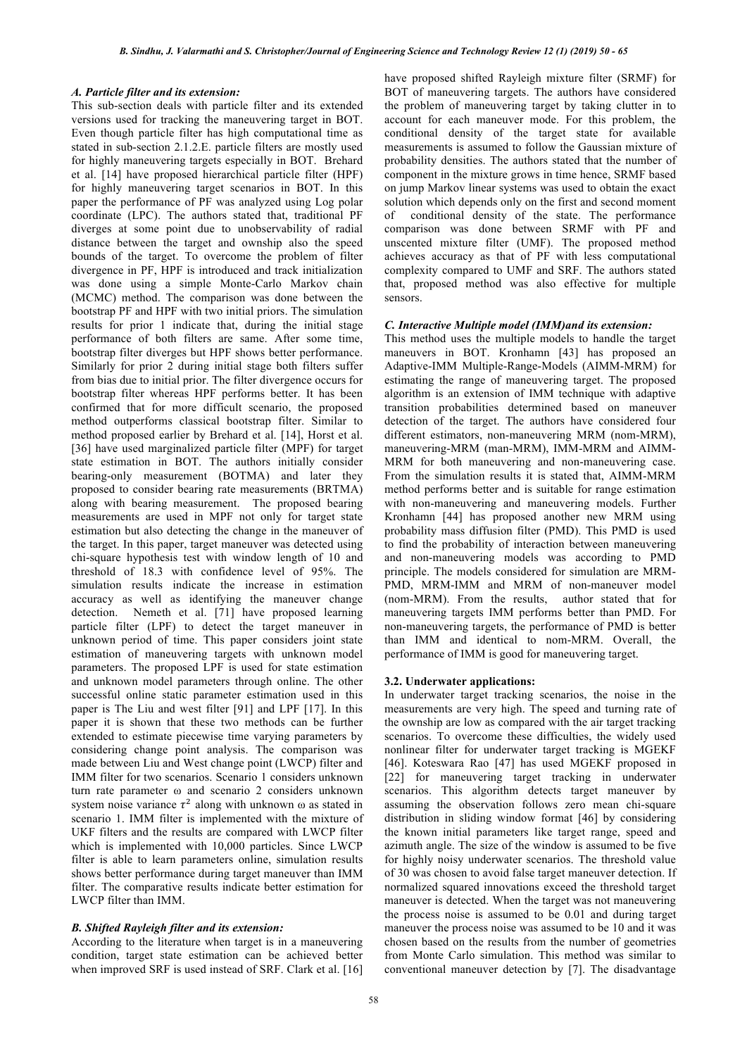# *A. Particle filter and its extension:*

This sub-section deals with particle filter and its extended versions used for tracking the maneuvering target in BOT. Even though particle filter has high computational time as stated in sub-section 2.1.2.E. particle filters are mostly used for highly maneuvering targets especially in BOT. Brehard et al. [14] have proposed hierarchical particle filter (HPF) for highly maneuvering target scenarios in BOT. In this paper the performance of PF was analyzed using Log polar coordinate (LPC). The authors stated that, traditional PF diverges at some point due to unobservability of radial distance between the target and ownship also the speed bounds of the target. To overcome the problem of filter divergence in PF, HPF is introduced and track initialization was done using a simple Monte-Carlo Markov chain (MCMC) method. The comparison was done between the bootstrap PF and HPF with two initial priors. The simulation results for prior 1 indicate that, during the initial stage performance of both filters are same. After some time, bootstrap filter diverges but HPF shows better performance. Similarly for prior 2 during initial stage both filters suffer from bias due to initial prior. The filter divergence occurs for bootstrap filter whereas HPF performs better. It has been confirmed that for more difficult scenario, the proposed method outperforms classical bootstrap filter. Similar to method proposed earlier by Brehard et al. [14], Horst et al. [36] have used marginalized particle filter (MPF) for target state estimation in BOT. The authors initially consider bearing-only measurement (BOTMA) and later they proposed to consider bearing rate measurements (BRTMA) along with bearing measurement. The proposed bearing measurements are used in MPF not only for target state estimation but also detecting the change in the maneuver of the target. In this paper, target maneuver was detected using chi-square hypothesis test with window length of 10 and threshold of 18.3 with confidence level of 95%. The simulation results indicate the increase in estimation accuracy as well as identifying the maneuver change detection. Nemeth et al. [71] have proposed learning particle filter (LPF) to detect the target maneuver in unknown period of time. This paper considers joint state estimation of maneuvering targets with unknown model parameters. The proposed LPF is used for state estimation and unknown model parameters through online. The other successful online static parameter estimation used in this paper is The Liu and west filter [91] and LPF [17]. In this paper it is shown that these two methods can be further extended to estimate piecewise time varying parameters by considering change point analysis. The comparison was made between Liu and West change point (LWCP) filter and IMM filter for two scenarios. Scenario 1 considers unknown turn rate parameter ω and scenario 2 considers unknown system noise variance  $\tau^2$  along with unknown  $\omega$  as stated in scenario 1. IMM filter is implemented with the mixture of UKF filters and the results are compared with LWCP filter which is implemented with 10,000 particles. Since LWCP filter is able to learn parameters online, simulation results shows better performance during target maneuver than IMM filter. The comparative results indicate better estimation for LWCP filter than IMM.

# *B. Shifted Rayleigh filter and its extension:*

According to the literature when target is in a maneuvering condition, target state estimation can be achieved better when improved SRF is used instead of SRF. Clark et al. [16] have proposed shifted Rayleigh mixture filter (SRMF) for BOT of maneuvering targets. The authors have considered the problem of maneuvering target by taking clutter in to account for each maneuver mode. For this problem, the conditional density of the target state for available measurements is assumed to follow the Gaussian mixture of probability densities. The authors stated that the number of component in the mixture grows in time hence, SRMF based on jump Markov linear systems was used to obtain the exact solution which depends only on the first and second moment of conditional density of the state. The performance comparison was done between SRMF with PF and unscented mixture filter (UMF). The proposed method achieves accuracy as that of PF with less computational complexity compared to UMF and SRF. The authors stated that, proposed method was also effective for multiple sensors.

#### *C. Interactive Multiple model (IMM)and its extension:*

This method uses the multiple models to handle the target maneuvers in BOT. Kronhamn [43] has proposed an Adaptive-IMM Multiple-Range-Models (AIMM-MRM) for estimating the range of maneuvering target. The proposed algorithm is an extension of IMM technique with adaptive transition probabilities determined based on maneuver detection of the target. The authors have considered four different estimators, non-maneuvering MRM (nom-MRM), maneuvering-MRM (man-MRM), IMM-MRM and AIMM-MRM for both maneuvering and non-maneuvering case. From the simulation results it is stated that, AIMM-MRM method performs better and is suitable for range estimation with non-maneuvering and maneuvering models. Further Kronhamn [44] has proposed another new MRM using probability mass diffusion filter (PMD). This PMD is used to find the probability of interaction between maneuvering and non-maneuvering models was according to PMD principle. The models considered for simulation are MRM-PMD, MRM-IMM and MRM of non-maneuver model (nom-MRM). From the results, author stated that for maneuvering targets IMM performs better than PMD. For non-maneuvering targets, the performance of PMD is better than IMM and identical to nom-MRM. Overall, the performance of IMM is good for maneuvering target.

# **3.2. Underwater applications:**

In underwater target tracking scenarios, the noise in the measurements are very high. The speed and turning rate of the ownship are low as compared with the air target tracking scenarios. To overcome these difficulties, the widely used nonlinear filter for underwater target tracking is MGEKF [46]. Koteswara Rao [47] has used MGEKF proposed in [22] for maneuvering target tracking in underwater scenarios. This algorithm detects target maneuver by assuming the observation follows zero mean chi-square distribution in sliding window format [46] by considering the known initial parameters like target range, speed and azimuth angle. The size of the window is assumed to be five for highly noisy underwater scenarios. The threshold value of 30 was chosen to avoid false target maneuver detection. If normalized squared innovations exceed the threshold target maneuver is detected. When the target was not maneuvering the process noise is assumed to be 0.01 and during target maneuver the process noise was assumed to be 10 and it was chosen based on the results from the number of geometries from Monte Carlo simulation. This method was similar to conventional maneuver detection by [7]. The disadvantage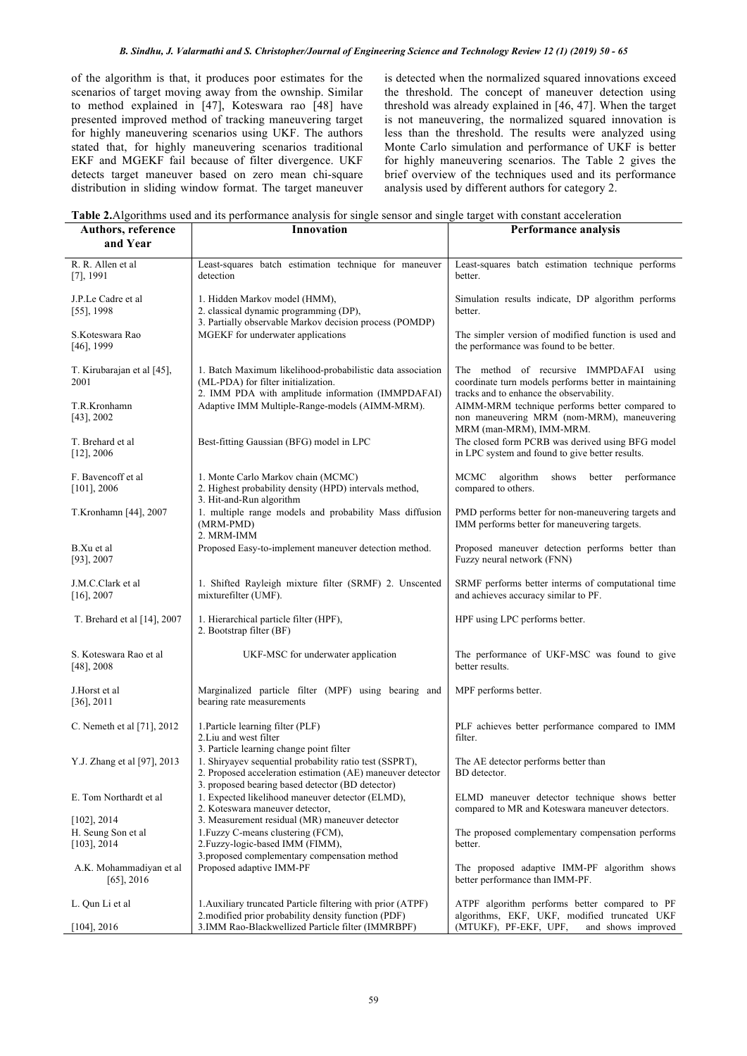#### *B. Sindhu, J. Valarmathi and S. Christopher/Journal of Engineering Science and Technology Review 12 (1) (2019) 50 - 65*

of the algorithm is that, it produces poor estimates for the scenarios of target moving away from the ownship. Similar to method explained in [47], Koteswara rao [48] have presented improved method of tracking maneuvering target for highly maneuvering scenarios using UKF. The authors stated that, for highly maneuvering scenarios traditional EKF and MGEKF fail because of filter divergence. UKF detects target maneuver based on zero mean chi-square distribution in sliding window format. The target maneuver is detected when the normalized squared innovations exceed the threshold. The concept of maneuver detection using threshold was already explained in [46, 47]. When the target is not maneuvering, the normalized squared innovation is less than the threshold. The results were analyzed using Monte Carlo simulation and performance of UKF is better for highly maneuvering scenarios. The Table 2 gives the brief overview of the techniques used and its performance analysis used by different authors for category 2.

**Table 2.**Algorithms used and its performance analysis for single sensor and single target with constant acceleration

| Authors, reference<br>and Year                         | Innovation                                                                                                                                                                | Performance analysis                                                                                                                         |
|--------------------------------------------------------|---------------------------------------------------------------------------------------------------------------------------------------------------------------------------|----------------------------------------------------------------------------------------------------------------------------------------------|
| R. R. Allen et al<br>$[7]$ , 1991                      | Least-squares batch estimation technique for maneuver<br>detection                                                                                                        | Least-squares batch estimation technique performs<br>better.                                                                                 |
| J.P.Le Cadre et al<br>$[55]$ , 1998                    | 1. Hidden Markov model (HMM),<br>2. classical dynamic programming (DP),<br>3. Partially observable Markov decision process (POMDP)                                        | Simulation results indicate, DP algorithm performs<br>better.                                                                                |
| S.Koteswara Rao<br>$[46]$ , 1999                       | MGEKF for underwater applications                                                                                                                                         | The simpler version of modified function is used and<br>the performance was found to be better.                                              |
| T. Kirubarajan et al [45],<br>2001                     | 1. Batch Maximum likelihood-probabilistic data association<br>(ML-PDA) for filter initialization.<br>2. IMM PDA with amplitude information (IMMPDAFAI)                    | The method of recursive IMMPDAFAI using<br>coordinate turn models performs better in maintaining<br>tracks and to enhance the observability. |
| T.R.Kronhamn<br>$[43]$ , 2002                          | Adaptive IMM Multiple-Range-models (AIMM-MRM).                                                                                                                            | AIMM-MRM technique performs better compared to<br>non maneuvering MRM (nom-MRM), maneuvering<br>MRM (man-MRM), IMM-MRM.                      |
| T. Brehard et al<br>$[12]$ , 2006                      | Best-fitting Gaussian (BFG) model in LPC                                                                                                                                  | The closed form PCRB was derived using BFG model<br>in LPC system and found to give better results.                                          |
| F. Bavencoff et al<br>$[101]$ , 2006                   | 1. Monte Carlo Markov chain (MCMC)<br>2. Highest probability density (HPD) intervals method,<br>3. Hit-and-Run algorithm                                                  | MCMC<br>algorithm<br>shows<br>better<br>performance<br>compared to others.                                                                   |
| T.Kronhamn [44], 2007                                  | 1. multiple range models and probability Mass diffusion<br>(MRM-PMD)<br>2. MRM-IMM                                                                                        | PMD performs better for non-maneuvering targets and<br>IMM performs better for maneuvering targets.                                          |
| B.Xu et al<br>$[93]$ , 2007                            | Proposed Easy-to-implement maneuver detection method.                                                                                                                     | Proposed maneuver detection performs better than<br>Fuzzy neural network (FNN)                                                               |
| J.M.C.Clark et al<br>$[16]$ , 2007                     | 1. Shifted Rayleigh mixture filter (SRMF) 2. Unscented<br>mixturefilter (UMF).                                                                                            | SRMF performs better interms of computational time<br>and achieves accuracy similar to PF.                                                   |
| T. Brehard et al [14], 2007                            | 1. Hierarchical particle filter (HPF),<br>2. Bootstrap filter (BF)                                                                                                        | HPF using LPC performs better.                                                                                                               |
| S. Koteswara Rao et al<br>$[48]$ , 2008                | UKF-MSC for underwater application                                                                                                                                        | The performance of UKF-MSC was found to give<br>better results.                                                                              |
| J.Horst et al<br>$[36]$ , 2011                         | Marginalized particle filter (MPF) using bearing and<br>bearing rate measurements                                                                                         | MPF performs better.                                                                                                                         |
| C. Nemeth et al [71], 2012                             | 1. Particle learning filter (PLF)<br>2. Liu and west filter<br>3. Particle learning change point filter                                                                   | PLF achieves better performance compared to IMM<br>filter.                                                                                   |
| Y.J. Zhang et al [97], 2013                            | 1. Shiryayev sequential probability ratio test (SSPRT),<br>2. Proposed acceleration estimation (AE) maneuver detector<br>3. proposed bearing based detector (BD detector) | The AE detector performs better than<br>BD detector.                                                                                         |
| E. Tom Northardt et al                                 | 1. Expected likelihood maneuver detector (ELMD),<br>2. Koteswara maneuver detector,                                                                                       | ELMD maneuver detector technique shows better<br>compared to MR and Koteswara maneuver detectors.                                            |
| $[102]$ , 2014<br>H. Seung Son et al<br>$[103]$ , 2014 | 3. Measurement residual (MR) maneuver detector<br>1. Fuzzy C-means clustering (FCM),<br>2. Fuzzy-logic-based IMM (FIMM),<br>3.proposed complementary compensation method  | The proposed complementary compensation performs<br>better.                                                                                  |
| A.K. Mohammadiyan et al<br>$[65]$ , 2016               | Proposed adaptive IMM-PF                                                                                                                                                  | The proposed adaptive IMM-PF algorithm shows<br>better performance than IMM-PF.                                                              |
| L. Qun Li et al                                        | 1. Auxiliary truncated Particle filtering with prior (ATPF)<br>2. modified prior probability density function (PDF)                                                       | ATPF algorithm performs better compared to PF<br>algorithms, EKF, UKF, modified truncated UKF                                                |
| $[104]$ , 2016                                         | 3.IMM Rao-Blackwellized Particle filter (IMMRBPF)                                                                                                                         | (MTUKF), PF-EKF, UPF,<br>and shows improved                                                                                                  |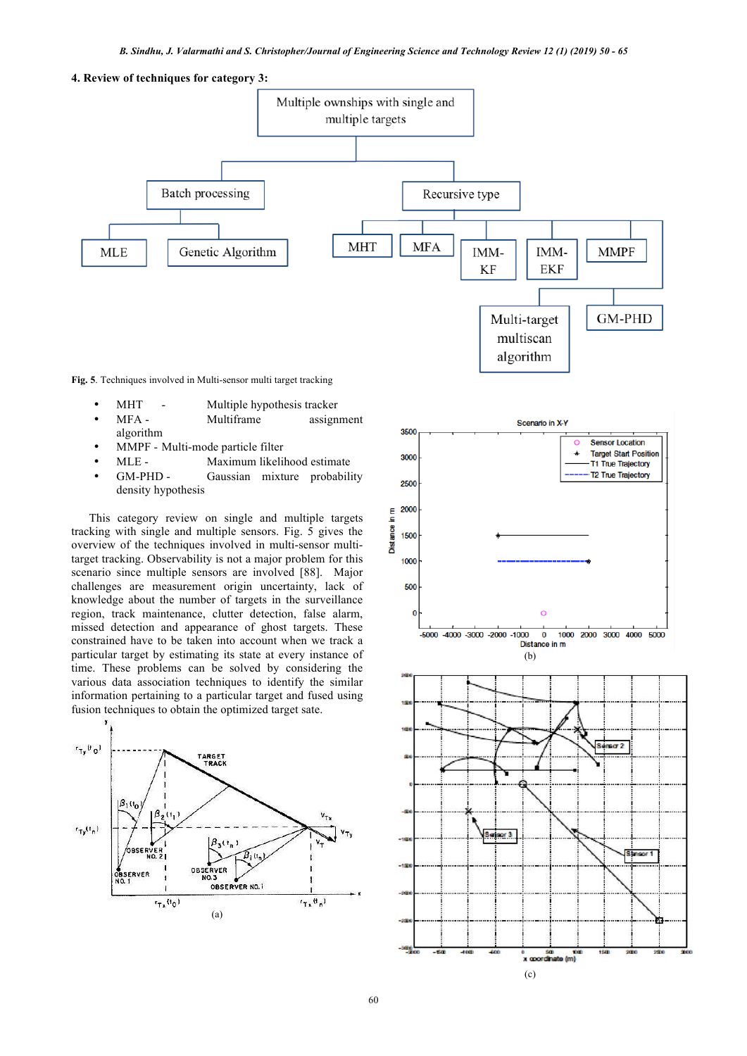**4. Review of techniques for category 3:**



**Fig. 5**. Techniques involved in Multi-sensor multi target tracking

- MHT Multiple hypothesis tracker
- MFA Multiframe assignment algorithm
- MMPF Multi-mode particle filter
- MLE Maximum likelihood estimate
- GM-PHD Gaussian mixture probability density hypothesis

This category review on single and multiple targets tracking with single and multiple sensors. Fig. 5 gives the overview of the techniques involved in multi-sensor multitarget tracking. Observability is not a major problem for this scenario since multiple sensors are involved [88]. Major challenges are measurement origin uncertainty, lack of knowledge about the number of targets in the surveillance region, track maintenance, clutter detection, false alarm, missed detection and appearance of ghost targets. These constrained have to be taken into account when we track a particular target by estimating its state at every instance of time. These problems can be solved by considering the various data association techniques to identify the similar information pertaining to a particular target and fused using fusion techniques to obtain the optimized target sate.



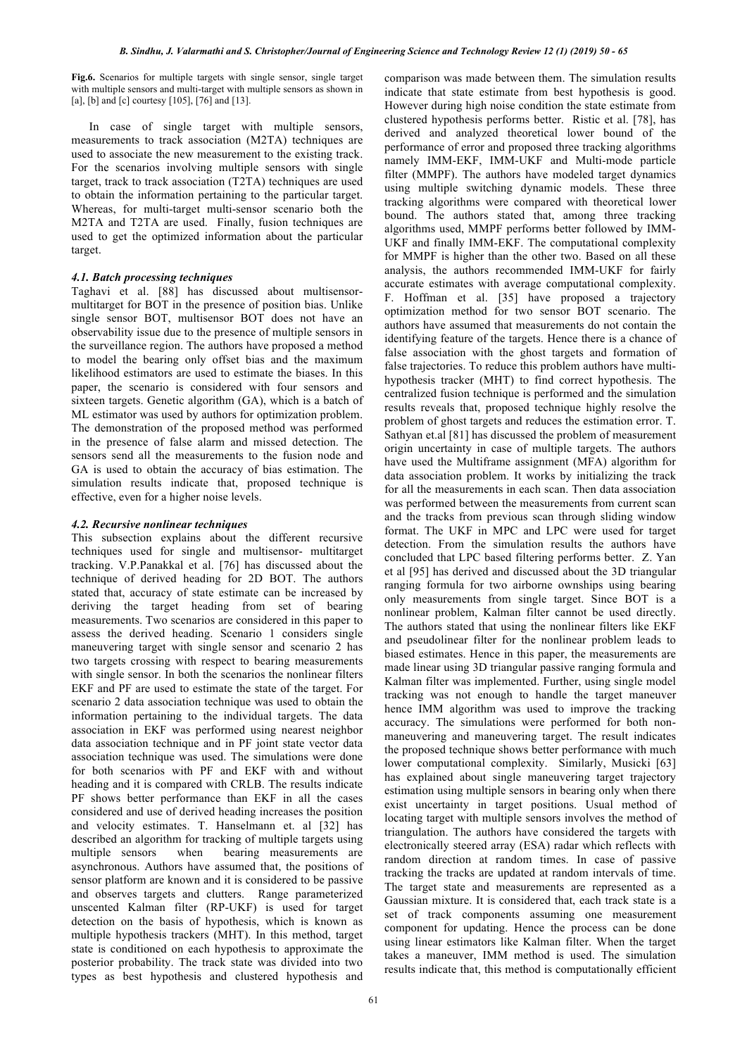**Fig.6.** Scenarios for multiple targets with single sensor, single target with multiple sensors and multi-target with multiple sensors as shown in [a], [b] and [c] courtesy [105], [76] and [13].

In case of single target with multiple sensors, measurements to track association (M2TA) techniques are used to associate the new measurement to the existing track. For the scenarios involving multiple sensors with single target, track to track association (T2TA) techniques are used to obtain the information pertaining to the particular target. Whereas, for multi-target multi-sensor scenario both the M2TA and T2TA are used. Finally, fusion techniques are used to get the optimized information about the particular target.

# *4.1. Batch processing techniques*

Taghavi et al. [88] has discussed about multisensormultitarget for BOT in the presence of position bias. Unlike single sensor BOT, multisensor BOT does not have an observability issue due to the presence of multiple sensors in the surveillance region. The authors have proposed a method to model the bearing only offset bias and the maximum likelihood estimators are used to estimate the biases. In this paper, the scenario is considered with four sensors and sixteen targets. Genetic algorithm (GA), which is a batch of ML estimator was used by authors for optimization problem. The demonstration of the proposed method was performed in the presence of false alarm and missed detection. The sensors send all the measurements to the fusion node and GA is used to obtain the accuracy of bias estimation. The simulation results indicate that, proposed technique is effective, even for a higher noise levels.

# *4.2. Recursive nonlinear techniques*

This subsection explains about the different recursive techniques used for single and multisensor- multitarget tracking. V.P.Panakkal et al. [76] has discussed about the technique of derived heading for 2D BOT. The authors stated that, accuracy of state estimate can be increased by deriving the target heading from set of bearing measurements. Two scenarios are considered in this paper to assess the derived heading. Scenario 1 considers single maneuvering target with single sensor and scenario 2 has two targets crossing with respect to bearing measurements with single sensor. In both the scenarios the nonlinear filters EKF and PF are used to estimate the state of the target. For scenario 2 data association technique was used to obtain the information pertaining to the individual targets. The data association in EKF was performed using nearest neighbor data association technique and in PF joint state vector data association technique was used. The simulations were done for both scenarios with PF and EKF with and without heading and it is compared with CRLB. The results indicate PF shows better performance than EKF in all the cases considered and use of derived heading increases the position and velocity estimates. T. Hanselmann et. al [32] has described an algorithm for tracking of multiple targets using multiple sensors when bearing measurements are asynchronous. Authors have assumed that, the positions of sensor platform are known and it is considered to be passive and observes targets and clutters. Range parameterized unscented Kalman filter (RP-UKF) is used for target detection on the basis of hypothesis, which is known as multiple hypothesis trackers (MHT). In this method, target state is conditioned on each hypothesis to approximate the posterior probability. The track state was divided into two types as best hypothesis and clustered hypothesis and

comparison was made between them. The simulation results indicate that state estimate from best hypothesis is good. However during high noise condition the state estimate from clustered hypothesis performs better. Ristic et al. [78], has derived and analyzed theoretical lower bound of the performance of error and proposed three tracking algorithms namely IMM-EKF, IMM-UKF and Multi-mode particle filter (MMPF). The authors have modeled target dynamics using multiple switching dynamic models. These three tracking algorithms were compared with theoretical lower bound. The authors stated that, among three tracking algorithms used, MMPF performs better followed by IMM-UKF and finally IMM-EKF. The computational complexity for MMPF is higher than the other two. Based on all these analysis, the authors recommended IMM-UKF for fairly accurate estimates with average computational complexity. F. Hoffman et al. [35] have proposed a trajectory optimization method for two sensor BOT scenario. The authors have assumed that measurements do not contain the identifying feature of the targets. Hence there is a chance of false association with the ghost targets and formation of false trajectories. To reduce this problem authors have multihypothesis tracker (MHT) to find correct hypothesis. The centralized fusion technique is performed and the simulation results reveals that, proposed technique highly resolve the problem of ghost targets and reduces the estimation error. T. Sathyan et.al [81] has discussed the problem of measurement origin uncertainty in case of multiple targets. The authors have used the Multiframe assignment (MFA) algorithm for data association problem. It works by initializing the track for all the measurements in each scan. Then data association was performed between the measurements from current scan and the tracks from previous scan through sliding window format. The UKF in MPC and LPC were used for target detection. From the simulation results the authors have concluded that LPC based filtering performs better. Z. Yan et al [95] has derived and discussed about the 3D triangular ranging formula for two airborne ownships using bearing only measurements from single target. Since BOT is a nonlinear problem, Kalman filter cannot be used directly. The authors stated that using the nonlinear filters like EKF and pseudolinear filter for the nonlinear problem leads to biased estimates. Hence in this paper, the measurements are made linear using 3D triangular passive ranging formula and Kalman filter was implemented. Further, using single model tracking was not enough to handle the target maneuver hence IMM algorithm was used to improve the tracking accuracy. The simulations were performed for both nonmaneuvering and maneuvering target. The result indicates the proposed technique shows better performance with much lower computational complexity. Similarly, Musicki [63] has explained about single maneuvering target trajectory estimation using multiple sensors in bearing only when there exist uncertainty in target positions. Usual method of locating target with multiple sensors involves the method of triangulation. The authors have considered the targets with electronically steered array (ESA) radar which reflects with random direction at random times. In case of passive tracking the tracks are updated at random intervals of time. The target state and measurements are represented as a Gaussian mixture. It is considered that, each track state is a set of track components assuming one measurement component for updating. Hence the process can be done using linear estimators like Kalman filter. When the target takes a maneuver, IMM method is used. The simulation results indicate that, this method is computationally efficient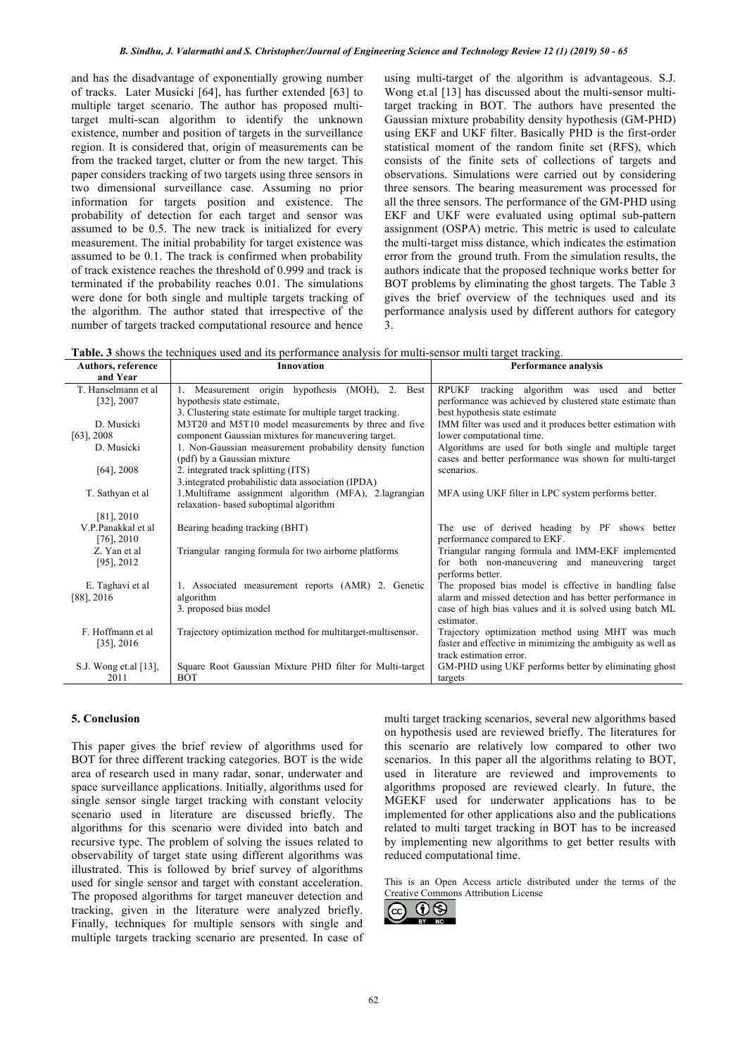and has the disadvantage of exponentially growing number of tracks. Later Musicki [64], has further extended [63] to multiple target scenario. The author has proposed multitarget multi-scan algorithm to identify the unknown existence, number and position of targets in the surveillance region. It is considered that, origin of measurements can be from the tracked target, clutter or from the new target. This paper considers tracking of two targets using three sensors in two dimensional surveillance case. Assuming no prior information for targets position and existence. The probability of detection for each target and sensor was assumed to be 0.5. The new track is initialized for every measurement. The initial probability for target existence was assumed to be 0.1. The track is confirmed when probability of track existence reaches the threshold of 0.999 and track is terminated if the probability reaches 0.01. The simulations were done for both single and multiple targets tracking of the algorithm. The author stated that irrespective of the number of targets tracked computational resource and hence

using multi-target of the algorithm is advantageous. S.J. Wong et al [13] has discussed about the multi-sensor multitarget tracking in BOT. The authors have presented the Gaussian mixture probability density hypothesis (GM-PHD) using EKF and UKF filter. Basically PHD is the first-order statistical moment of the random finite set (RFS), which consists of the finite sets of collections of targets and observations. Simulations were carried out by considering three sensors. The bearing measurement was processed for all the three sensors. The performance of the GM-PHD using EKF and UKF were evaluated using optimal sub-pattern assignment (OSPA) metric. This metric is used to calculate the multi-target miss distance, which indicates the estimation error from the ground truth. From the simulation results, the authors indicate that the proposed technique works better for BOT problems by eliminating the ghost targets. The Table 3 gives the brief overview of the techniques used and its performance analysis used by different authors for category 3.

**Table. 3** shows the techniques used and its performance analysis for multi-sensor multi target tracking.

| and<br>better<br>performance was achieved by clustered state estimate than<br>IMM filter was used and it produces better estimation with |
|------------------------------------------------------------------------------------------------------------------------------------------|
|                                                                                                                                          |
|                                                                                                                                          |
|                                                                                                                                          |
|                                                                                                                                          |
|                                                                                                                                          |
|                                                                                                                                          |
| Algorithms are used for both single and multiple target                                                                                  |
| cases and better performance was shown for multi-target                                                                                  |
|                                                                                                                                          |
|                                                                                                                                          |
| MFA using UKF filter in LPC system performs better.                                                                                      |
|                                                                                                                                          |
|                                                                                                                                          |
| The use of derived heading by PF shows better                                                                                            |
|                                                                                                                                          |
| Triangular ranging formula and IMM-EKF implemented                                                                                       |
| for both non-maneuvering and maneuvering target                                                                                          |
|                                                                                                                                          |
| The proposed bias model is effective in handling false<br>alarm and missed detection and has better performance in                       |
| case of high bias values and it is solved using batch ML                                                                                 |
|                                                                                                                                          |
| Trajectory optimization method using MHT was much                                                                                        |
| faster and effective in minimizing the ambiguity as well as                                                                              |
|                                                                                                                                          |
| GM-PHD using UKF performs better by eliminating ghost                                                                                    |
|                                                                                                                                          |
|                                                                                                                                          |

# **5. Conclusion**

This paper gives the brief review of algorithms used for BOT for three different tracking categories. BOT is the wide area of research used in many radar, sonar, underwater and space surveillance applications. Initially, algorithms used for single sensor single target tracking with constant velocity scenario used in literature are discussed briefly. The algorithms for this scenario were divided into batch and recursive type. The problem of solving the issues related to observability of target state using different algorithms was illustrated. This is followed by brief survey of algorithms used for single sensor and target with constant acceleration. The proposed algorithms for target maneuver detection and tracking, given in the literature were analyzed briefly. Finally, techniques for multiple sensors with single and multiple targets tracking scenario are presented. In case of

multi target tracking scenarios, several new algorithms based on hypothesis used are reviewed briefly. The literatures for this scenario are relatively low compared to other two scenarios. In this paper all the algorithms relating to BOT, used in literature are reviewed and improvements to algorithms proposed are reviewed clearly. In future, the MGEKF used for underwater applications has to be implemented for other applications also and the publications related to multi target tracking in BOT has to be increased by implementing new algorithms to get better results with reduced computational time.

This is an Open Access article distributed under the terms of the Creative Commons Attribution License

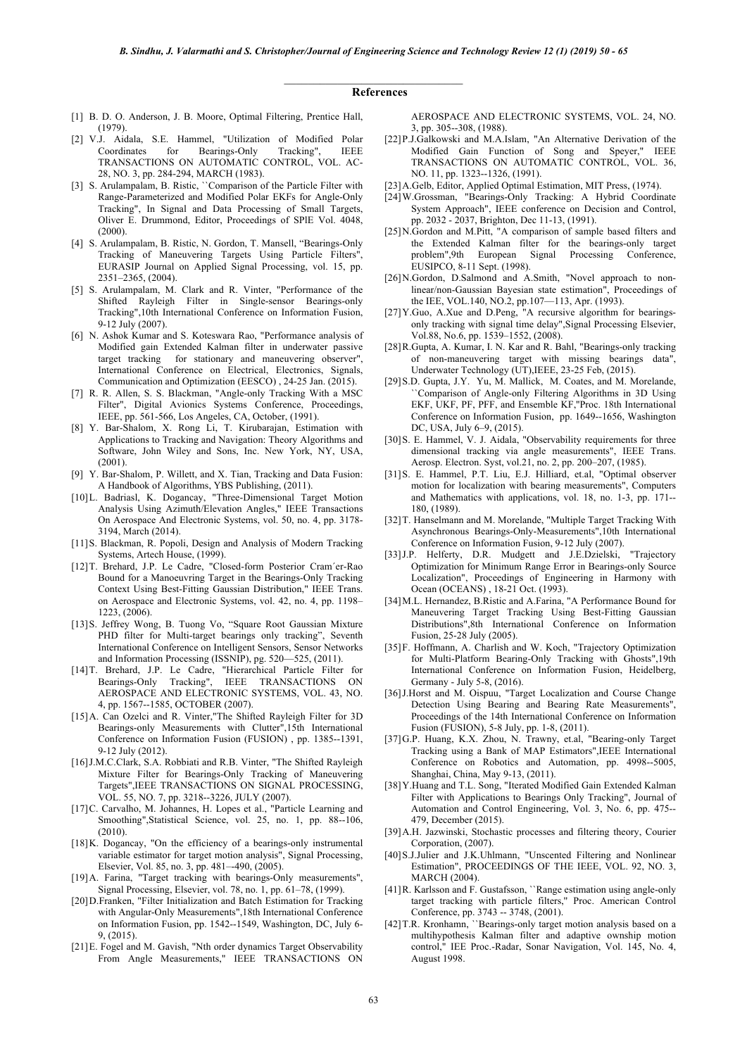#### \_\_\_\_\_\_\_\_\_\_\_\_\_\_\_\_\_\_\_\_\_\_\_\_\_\_\_\_\_\_ **References**

- [1] B. D. O. Anderson, J. B. Moore, Optimal Filtering, Prentice Hall, (1979).
- [2] V.J. Aidala, S.E. Hammel, "Utilization of Modified Polar Coordinates for Bearings-Only Tracking", IEEE TRANSACTIONS ON AUTOMATIC CONTROL, VOL. AC-28, NO. 3, pp. 284-294, MARCH (1983).
- [3] S. Arulampalam, B. Ristic, "Comparison of the Particle Filter with Range-Parameterized and Modified Polar EKFs for Angle-Only Tracking", In Signal and Data Processing of Small Targets, Oliver E. Drummond, Editor, Proceedings of SPlE Vol. 4048, (2000).
- [4] S. Arulampalam, B. Ristic, N. Gordon, T. Mansell, "Bearings-Only Tracking of Maneuvering Targets Using Particle Filters", EURASIP Journal on Applied Signal Processing, vol. 15, pp. 2351–2365, (2004).
- [5] S. Arulampalam, M. Clark and R. Vinter, "Performance of the Shifted Rayleigh Filter in Single-sensor Bearings-only Tracking",10th International Conference on Information Fusion, 9-12 July (2007).
- [6] N. Ashok Kumar and S. Koteswara Rao, "Performance analysis of Modified gain Extended Kalman filter in underwater passive target tracking for stationary and maneuvering observer", International Conference on Electrical, Electronics, Signals, Communication and Optimization (EESCO) , 24-25 Jan. (2015).
- [7] R. R. Allen, S. S. Blackman, "Angle-only Tracking With a MSC Filter", Digital Avionics Systems Conference, Proceedings, IEEE, pp. 561-566, Los Angeles, CA, October, (1991).
- [8] Y. Bar-Shalom, X. Rong Li, T. Kirubarajan, Estimation with Applications to Tracking and Navigation: Theory Algorithms and Software, John Wiley and Sons, Inc. New York, NY, USA,  $(2001)$
- [9] Y. Bar-Shalom, P. Willett, and X. Tian, Tracking and Data Fusion: A Handbook of Algorithms, YBS Publishing, (2011).
- [10]L. Badriasl, K. Dogancay, "Three-Dimensional Target Motion Analysis Using Azimuth/Elevation Angles," IEEE Transactions On Aerospace And Electronic Systems, vol. 50, no. 4, pp. 3178- 3194, March (2014).
- [11]S. Blackman, R. Popoli, Design and Analysis of Modern Tracking Systems, Artech House, (1999).
- [12]T. Brehard, J.P. Le Cadre, "Closed-form Posterior Cram´er-Rao Bound for a Manoeuvring Target in the Bearings-Only Tracking Context Using Best-Fitting Gaussian Distribution," IEEE Trans. on Aerospace and Electronic Systems, vol. 42, no. 4, pp. 1198– 1223, (2006).
- [13]S. Jeffrey Wong, B. Tuong Vo, "Square Root Gaussian Mixture PHD filter for Multi-target bearings only tracking", Seventh International Conference on Intelligent Sensors, Sensor Networks and Information Processing (ISSNIP), pg. 520—525, (2011).
- [14]T. Brehard, J.P. Le Cadre, "Hierarchical Particle Filter for Bearings-Only Tracking", IEEE TRANSACTIONS ON AEROSPACE AND ELECTRONIC SYSTEMS, VOL. 43, NO. 4, pp. 1567--1585, OCTOBER (2007).
- [15]A. Can Ozelci and R. Vinter,"The Shifted Rayleigh Filter for 3D Bearings-only Measurements with Clutter",15th International Conference on Information Fusion (FUSION) , pp. 1385--1391, 9-12 July (2012).
- [16]J.M.C.Clark, S.A. Robbiati and R.B. Vinter, "The Shifted Rayleigh Mixture Filter for Bearings-Only Tracking of Maneuvering Targets",IEEE TRANSACTIONS ON SIGNAL PROCESSING, VOL. 55, NO. 7, pp. 3218--3226, JULY (2007).
- [17]C. Carvalho, M. Johannes, H. Lopes et al., "Particle Learning and Smoothing", Statistical Science, vol. 25, no. 1, pp. 88--106, (2010).
- [18]K. Dogancay, "On the efficiency of a bearings-only instrumental variable estimator for target motion analysis", Signal Processing, Elsevier, Vol. 85, no. 3, pp. 481–-490, (2005).
- [19]A. Farina, "Target tracking with bearings-Only measurements", Signal Processing, Elsevier, vol. 78, no. 1, pp. 61–78, (1999).
- [20]D.Franken, "Filter Initialization and Batch Estimation for Tracking with Angular-Only Measurements",18th International Conference on Information Fusion, pp. 1542--1549, Washington, DC, July 6- 9, (2015).
- [21]E. Fogel and M. Gavish, "Nth order dynamics Target Observability From Angle Measurements," IEEE TRANSACTIONS ON

AEROSPACE AND ELECTRONIC SYSTEMS, VOL. 24, NO. 3, pp. 305--308, (1988).

- [22]P.J.Galkowski and M.A.Islam, "An Alternative Derivation of the Modified Gain Function of Song and Speyer," IEEE TRANSACTIONS ON AUTOMATIC CONTROL, VOL. 36, NO. 11, pp. 1323--1326, (1991).
- [23]A.Gelb, Editor, Applied Optimal Estimation, MIT Press, (1974).
- [24]W.Grossman, "Bearings-Only Tracking: A Hybrid Coordinate System Approach", IEEE conference on Decision and Control, pp. 2032 - 2037, Brighton, Dec 11-13, (1991).
- [25]N.Gordon and M.Pitt, "A comparison of sample based filters and the Extended Kalman filter for the bearings-only target problem",9th European Signal Processing Conference, EUSIPCO, 8-11 Sept. (1998).
- [26]N.Gordon, D.Salmond and A.Smith, "Novel approach to nonlinear/non-Gaussian Bayesian state estimation", Proceedings of the IEE, VOL.140, NO.2, pp.107—113, Apr. (1993).
- [27]Y.Guo, A.Xue and D.Peng, "A recursive algorithm for bearingsonly tracking with signal time delay",Signal Processing Elsevier, Vol.88, No.6, pp. 1539–1552, (2008).
- [28]R.Gupta, A. Kumar, I. N. Kar and R. Bahl, "Bearings-only tracking of non-maneuvering target with missing bearings data", Underwater Technology (UT),IEEE, 23-25 Feb, (2015).
- [29]S.D. Gupta, J.Y. Yu, M. Mallick, M. Coates, and M. Morelande, ``Comparison of Angle-only Filtering Algorithms in 3D Using EKF, UKF, PF, PFF, and Ensemble KF,''Proc. 18th International Conference on Information Fusion, pp. 1649--1656, Washington DC, USA, July 6–9, (2015).
- [30] S. E. Hammel, V. J. Aidala, "Observability requirements for three dimensional tracking via angle measurements", IEEE Trans. Aerosp. Electron. Syst, vol.21, no. 2, pp. 200–207, (1985).
- [31]S. E. Hammel, P.T. Liu, E.J. Hilliard, et.al, "Optimal observer motion for localization with bearing measurements", Computers and Mathematics with applications, vol. 18, no. 1-3, pp. 171-- 180, (1989).
- [32]T. Hanselmann and M. Morelande, "Multiple Target Tracking With Asynchronous Bearings-Only-Measurements",10th International Conference on Information Fusion, 9-12 July (2007).
- [33] J.P. Helferty, D.R. Mudgett and J.E.Dzielski, "Trajectory Optimization for Minimum Range Error in Bearings-only Source Localization", Proceedings of Engineering in Harmony with Ocean (OCEANS) , 18-21 Oct. (1993).
- [34]M.L. Hernandez, B.Ristic and A.Farina, "A Performance Bound for Maneuvering Target Tracking Using Best-Fitting Gaussian Distributions",8th International Conference on Information Fusion, 25-28 July (2005).
- [35]F. Hoffmann, A. Charlish and W. Koch, "Trajectory Optimization for Multi-Platform Bearing-Only Tracking with Ghosts",19th International Conference on Information Fusion, Heidelberg, Germany - July 5-8, (2016).
- [36]J.Horst and M. Oispuu, "Target Localization and Course Change Detection Using Bearing and Bearing Rate Measurements", Proceedings of the 14th International Conference on Information Fusion (FUSION), 5-8 July, pp. 1-8, (2011).
- [37]G.P. Huang, K.X. Zhou, N. Trawny, et.al, "Bearing-only Target Tracking using a Bank of MAP Estimators",IEEE International Conference on Robotics and Automation, pp. 4998--5005, Shanghai, China, May 9-13, (2011).
- [38]Y.Huang and T.L. Song, "Iterated Modified Gain Extended Kalman Filter with Applications to Bearings Only Tracking", Journal of Automation and Control Engineering, Vol. 3, No. 6, pp. 475-- 479, December (2015).
- [39]A.H. Jazwinski, Stochastic processes and filtering theory, Courier Corporation, (2007).
- [40]S.J.Julier and J.K.Uhlmann, "Unscented Filtering and Nonlinear Estimation", PROCEEDINGS OF THE IEEE, VOL. 92, NO. 3, MARCH (2004).
- [41] R. Karlsson and F. Gustafsson, "Range estimation using angle-only target tracking with particle filters,'' Proc. American Control Conference, pp. 3743 -- 3748, (2001).
- [42] T.R. Kronhamn, "Bearings-only target motion analysis based on a multihypothesis Kalman filter and adaptive ownship motion control," IEE Proc.-Radar, Sonar Navigation, Vol. 145, No. 4, August 1998.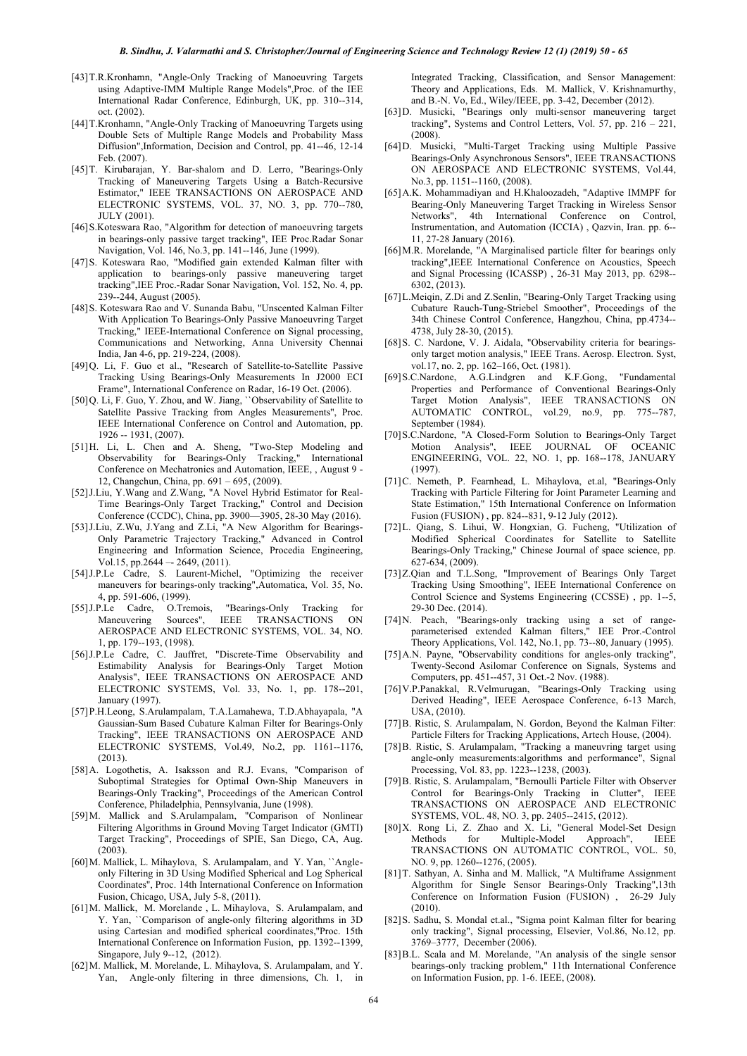- [43]T.R.Kronhamn, "Angle-Only Tracking of Manoeuvring Targets using Adaptive-IMM Multiple Range Models",Proc. of the IEE International Radar Conference, Edinburgh, UK, pp. 310--314, oct. (2002).
- [44]T.Kronhamn, "Angle-Only Tracking of Manoeuvring Targets using Double Sets of Multiple Range Models and Probability Mass Diffusion",Information, Decision and Control, pp. 41--46, 12-14 Feb. (2007).
- [45]T. Kirubarajan, Y. Bar-shalom and D. Lerro, "Bearings-Only Tracking of Maneuvering Targets Using a Batch-Recursive Estimator," IEEE TRANSACTIONS ON AEROSPACE AND ELECTRONIC SYSTEMS, VOL. 37, NO. 3, pp. 770--780, JULY (2001).
- [46] S.Koteswara Rao, "Algorithm for detection of manoeuvring targets in bearings-only passive target tracking", IEE Proc.Radar Sonar Navigation, Vol. 146, No.3, pp. 141--146, June (1999).
- [47]S. Koteswara Rao, "Modified gain extended Kalman filter with application to bearings-only passive maneuvering target tracking",IEE Proc.-Radar Sonar Navigation, Vol. 152, No. 4, pp. 239--244, August (2005).
- [48]S. Koteswara Rao and V. Sunanda Babu, "Unscented Kalman Filter With Application To Bearings-Only Passive Manoeuvring Target Tracking," IEEE-International Conference on Signal processing, Communications and Networking, Anna University Chennai India, Jan 4-6, pp. 219-224, (2008).
- [49]Q. Li, F. Guo et al., "Research of Satellite-to-Satellite Passive Tracking Using Bearings-Only Measurements In J2000 ECI Frame", International Conference on Radar, 16-19 Oct. (2006).
- [50]Q. Li, F. Guo, Y. Zhou, and W. Jiang, ``Observability of Satellite to Satellite Passive Tracking from Angles Measurements'', Proc. IEEE International Conference on Control and Automation, pp. 1926 -- 1931, (2007).
- [51]H. Li, L. Chen and A. Sheng, "Two-Step Modeling and Observability for Bearings-Only Tracking," International Conference on Mechatronics and Automation, IEEE, , August 9 - 12, Changchun, China, pp. 691 – 695, (2009).
- [52]J.Liu, Y.Wang and Z.Wang, "A Novel Hybrid Estimator for Real-Time Bearings-Only Target Tracking," Control and Decision Conference (CCDC), China, pp. 3900—3905, 28-30 May (2016).
- [53]J.Liu, Z.Wu, J.Yang and Z.Li, "A New Algorithm for Bearings-Only Parametric Trajectory Tracking," Advanced in Control Engineering and Information Science, Procedia Engineering, Vol.15, pp.2644  $-$  2649, (2011).
- [54]J.P.Le Cadre, S. Laurent-Michel, "Optimizing the receiver maneuvers for bearings-only tracking",Automatica, Vol. 35, No.
- 4, pp. 591-606, (1999).<br>[55] J.P.Le Cadre, O.Tremois, "Bearings-Only Tracking for Maneuvering Sources", IEEE TRANSACTIONS ON AEROSPACE AND ELECTRONIC SYSTEMS, VOL. 34, NO. 1, pp. 179--193, (1998).
- [56]J.P.Le Cadre, C. Jauffret, "Discrete-Time Observability and Estimability Analysis for Bearings-Only Target Motion Analysis", IEEE TRANSACTIONS ON AEROSPACE AND ELECTRONIC SYSTEMS, Vol. 33, No. 1, pp. 178--201, January (1997).
- [57]P.H.Leong, S.Arulampalam, T.A.Lamahewa, T.D.Abhayapala, "A Gaussian-Sum Based Cubature Kalman Filter for Bearings-Only Tracking", IEEE TRANSACTIONS ON AEROSPACE AND ELECTRONIC SYSTEMS, Vol.49, No.2, pp. 1161--1176, (2013).
- [58]A. Logothetis, A. Isaksson and R.J. Evans, "Comparison of Suboptimal Strategies for Optimal Own-Ship Maneuvers in Bearings-Only Tracking", Proceedings of the American Control Conference, Philadelphia, Pennsylvania, June (1998).
- [59]M. Mallick and S.Arulampalam, "Comparison of Nonlinear Filtering Algorithms in Ground Moving Target Indicator (GMTI) Target Tracking", Proceedings of SPIE, San Diego, CA, Aug. (2003).
- [60]M. Mallick, L. Mihaylova, S. Arulampalam, and Y. Yan, ``Angleonly Filtering in 3D Using Modified Spherical and Log Spherical Coordinates'', Proc. 14th International Conference on Information Fusion, Chicago, USA, July 5-8, (2011).
- [61]M. Mallick, M. Morelande , L. Mihaylova, S. Arulampalam, and Y. Yan, ''Comparison of angle-only filtering algorithms in 3D using Cartesian and modified spherical coordinates,''Proc. 15th International Conference on Information Fusion, pp. 1392--1399, Singapore, July 9--12, (2012).
- [62]M. Mallick, M. Morelande, L. Mihaylova, S. Arulampalam, and Y. Yan, Angle-only filtering in three dimensions, Ch. 1, in

Integrated Tracking, Classification, and Sensor Management: Theory and Applications, Eds. M. Mallick, V. Krishnamurthy, and B.-N. Vo, Ed., Wiley/IEEE, pp. 3-42, December (2012).

- [63]D. Musicki, "Bearings only multi-sensor maneuvering target tracking", Systems and Control Letters, Vol. 57, pp. 216 – 221, (2008).
- [64]D. Musicki, "Multi-Target Tracking using Multiple Passive Bearings-Only Asynchronous Sensors", IEEE TRANSACTIONS ON AEROSPACE AND ELECTRONIC SYSTEMS, Vol.44, No.3, pp. 1151--1160, (2008).
- [65]A.K. Mohammadiyan and H.Khaloozadeh, "Adaptive IMMPF for Bearing-Only Maneuvering Target Tracking in Wireless Sensor Networks", 4th International Conference on Control, Instrumentation, and Automation (ICCIA) , Qazvin, Iran. pp. 6-- 11, 27-28 January (2016).
- [66]M.R. Morelande, "A Marginalised particle filter for bearings only tracking",IEEE International Conference on Acoustics, Speech and Signal Processing (ICASSP) , 26-31 May 2013, pp. 6298-- 6302, (2013).
- [67]L.Meiqin, Z.Di and Z.Senlin, "Bearing-Only Target Tracking using Cubature Rauch-Tung-Striebel Smoother", Proceedings of the 34th Chinese Control Conference, Hangzhou, China, pp.4734-- 4738, July 28-30, (2015).
- [68]S. C. Nardone, V. J. Aidala, "Observability criteria for bearingsonly target motion analysis," IEEE Trans. Aerosp. Electron. Syst, vol.17, no. 2, pp. 162–166, Oct. (1981).
- [69]S.C.Nardone, A.G.Lindgren and K.F.Gong, "Fundamental Properties and Performance of Conventional Bearings-Only Target Motion Analysis", IEEE TRANSACTIONS ON AUTOMATIC CONTROL, vol.29, no.9, pp. 775--787, September (1984).
- [70]S.C.Nardone, "A Closed-Form Solution to Bearings-Only Target Motion Analysis", IEEE JOURNAL OF OCEANIC ENGINEERING, VOL. 22, NO. 1, pp. 168--178, JANUARY (1997).
- [71]C. Nemeth, P. Fearnhead, L. Mihaylova, et.al, "Bearings-Only Tracking with Particle Filtering for Joint Parameter Learning and State Estimation," 15th International Conference on Information Fusion (FUSION) , pp. 824--831, 9-12 July (2012).
- [72]L. Qiang, S. Lihui, W. Hongxian, G. Fucheng, "Utilization of Modified Spherical Coordinates for Satellite to Satellite Bearings-Only Tracking," Chinese Journal of space science, pp. 627-634, (2009).
- [73] Z.Qian and T.L.Song, "Improvement of Bearings Only Target Tracking Using Smoothing", IEEE International Conference on Control Science and Systems Engineering (CCSSE) , pp. 1--5, 29-30 Dec. (2014).
- [74]N. Peach, "Bearings-only tracking using a set of rangeparameterised extended Kalman filters," IEE Pror.-Control Theory Applications, Vol. 142, No.1, pp. 73--80, January (1995).
- [75] A.N. Payne, "Observability conditions for angles-only tracking" Twenty-Second Asilomar Conference on Signals, Systems and Computers, pp. 451--457, 31 Oct.-2 Nov. (1988).
- [76]V.P.Panakkal, R.Velmurugan, "Bearings-Only Tracking using Derived Heading", IEEE Aerospace Conference, 6-13 March, USA, (2010).
- [77]B. Ristic, S. Arulampalam, N. Gordon, Beyond the Kalman Filter: Particle Filters for Tracking Applications, Artech House, (2004).
- [78]B. Ristic, S. Arulampalam, "Tracking a maneuvring target using angle-only measurements:algorithms and performance", Signal Processing, Vol. 83, pp. 1223--1238, (2003).
- [79]B. Ristic, S. Arulampalam, "Bernoulli Particle Filter with Observer Control for Bearings-Only Tracking in Clutter", IEEE TRANSACTIONS ON AEROSPACE AND ELECTRONIC SYSTEMS, VOL. 48, NO. 3, pp. 2405--2415, (2012).
- [80]X. Rong Li, Z. Zhao and X. Li, "General Model-Set Design Methods for Multiple-Model Approach", IEEE TRANSACTIONS ON AUTOMATIC CONTROL, VOL. 50, NO. 9, pp. 1260--1276, (2005).
- [81]T. Sathyan, A. Sinha and M. Mallick, "A Multiframe Assignment Algorithm for Single Sensor Bearings-Only Tracking",13th Conference on Information Fusion (FUSION) , 26-29 July (2010).
- [82]S. Sadhu, S. Mondal et.al., "Sigma point Kalman filter for bearing only tracking", Signal processing, Elsevier, Vol.86, No.12, pp. 3769–3777, December (2006).
- [83] B.L. Scala and M. Morelande, "An analysis of the single sensor bearings-only tracking problem," 11th International Conference on Information Fusion, pp. 1-6. IEEE, (2008).